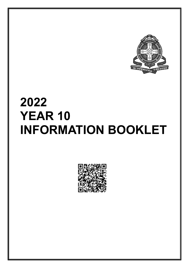

# **2022 YEAR 10 INFORMATION BOOKLET**

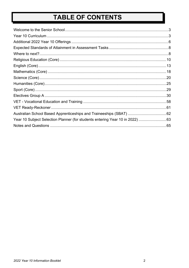# TABLE OF CONTENTS

| Year 10 Subject Selection Planner (for students entering Year 10 in 2022) 63 |  |
|------------------------------------------------------------------------------|--|
|                                                                              |  |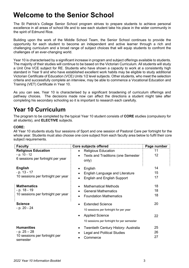# <span id="page-2-0"></span>**Welcome to the Senior School**

The St Patrick's College Senior School program strives to prepare students to achieve personal excellence in all areas of school life and to see each student take his place in the wider community in the spirit of Edmund Rice.

Building upon the work of the Middle School Team, the Senior School continues to provide the opportunity for each student to become an independent and active learner through a rich and challenging curriculum and a broad range of subject choices that will equip students to confront the challenges of an ever-changing world.

Year 10 is characterised by a significant increase in program and subject offerings available to students. The majority of their studies will continue to be based on the Victorian Curriculum. All students will study a Unit One VCE subject for RE. Students who have shown a capacity to work at a consistently high standard in Year 9 and who have established excellent work habits may be eligible to study additional Victorian Certificate of Education (VCE) Units 1/2 level subjects. Other students, who meet the selection criteria and successfully complete an interview, may be able to commence a Vocational Education and Training (VET) Certificate in Year 10.

As you can see, Year 10 is characterised by a significant broadening of curriculum offerings and pathway choices. The decisions made now can affect the directions a student might take after completing his secondary schooling so it is important to research each carefully.

# <span id="page-2-1"></span>**Year 10 Curriculum**

The program to be completed by the typical Year 10 student consists of **CORE** studies (compulsory for all students), and **ELECTIVE** subjects.

#### **CORE:**

All Year 10 students study four sessions of Sport and one session of Pastoral Care per fortnight for the whole year. Students must also choose one core subject from each faculty area below to fulfil their core subject requirements.

| <b>Faculty</b>                            | <b>Core subjects offered</b>                | Page number |
|-------------------------------------------|---------------------------------------------|-------------|
| <b>Religious Education</b>                | <b>Religious Education</b><br>$\bullet$     | 11          |
| $-p. 10 - 12$                             | <b>Texts and Traditions (one Semester</b>   | 12          |
| 6 sessions per fortnight per year         | only)                                       |             |
| <b>English</b>                            | English<br>$\bullet$                        | 14          |
| - p. 13 - 17                              | <b>English Language and Literature</b>      | 15          |
| 10 sessions per fortnight per year        | <b>English and English Support</b>          | 17          |
| <b>Mathematics</b>                        | <b>Mathematical Methods</b>                 | 18          |
| - p. 18 - 19                              | <b>General Mathematics</b>                  | 18          |
| 10 sessions per fortnight per year        | <b>Foundation Mathematics</b>               | 18          |
| <b>Science</b>                            | <b>Extended Science</b>                     | 20          |
| - p. 20 - 24                              | 10 sessions per fortnight for per year      |             |
|                                           | <b>Applied Science</b>                      | 22          |
|                                           | 10 sessions per fortnight for per semester  |             |
| <b>Humanities</b>                         | <b>Twentieth Century History- Australia</b> | 25          |
| $-p.25-28$                                | <b>Legal and Political Studies</b>          | 26          |
| 10 sessions per fortnight per<br>semester | Commerce                                    | 27          |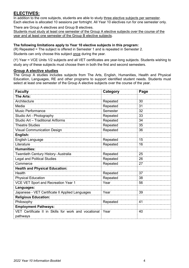## **ELECTIVES:**

In addition to the core subjects, students are able to study three elective subjects per semester. Each elective is allocated 10 sessions per fortnight. All Year 10 electives run for one semester only.

There are Group A electives and Group B electives.

Students must study at least one semester of the Group A elective subjects over the course of the year and at least one semester of the Group B elective subjects.

#### **The following limitations apply to Year 10 elective subjects in this program:**

(R) Repeated = The subject is offered in Semester 1 and is repeated in Semester 2.

Students can only choose this subject once during the year.

(Y) Year = VCE Units 1/2 subjects and all VET certificates are year-long subjects. Students wishing to study any of these subjects must choose them in both the first and second semesters.

#### **Group A elective studies**

The Group A studies includes subjects from The Arts, English, Humanities, Health and Physical Education, Languages, RE and other programs to support identified student needs. Students must select at least one semester of the Group A elective subjects over the course of the year.

| <b>Faculty</b>                                       | Category | Page |
|------------------------------------------------------|----------|------|
| The Arts:                                            |          |      |
| Architecture                                         | Repeated | 30   |
| Media                                                | Repeated | 31   |
| <b>Music Performance</b>                             | Semester | 32   |
| Studio Art - Photography                             | Repeated | 33   |
| Studio Art - Traditional Artforms                    | Repeated | 34   |
| <b>Theatre Studies</b>                               | Repeated | 35   |
| <b>Visual Communication Design</b>                   | Repeated | 36   |
| English:                                             |          |      |
| English Language                                     | Repeated | 15   |
| Literature                                           | Repeated | 16   |
| <b>Humanities:</b>                                   |          |      |
| Twentieth Century History- Australia                 | Repeated | 25   |
| <b>Legal and Political Studies</b>                   | Repeated | 26   |
| Commerce                                             | Repeated | 27   |
| <b>Health and Physical Education:</b>                |          |      |
| Health                                               | Repeated | 37   |
| <b>Physical Education</b>                            | Repeated | 38   |
| VCE VET Sport and Recreation Year 1                  | Year     | 56   |
| Languages:                                           |          |      |
| Japanese - VET Certificate II Applied Languages      | Year     | 39   |
| <b>Religious Education:</b>                          |          |      |
| Philosophy                                           | Repeated | 41   |
| <b>Employment Pathways:</b>                          |          |      |
| VET Certificate II in Skills for work and vocational | Year     | 40   |
| pathways                                             |          |      |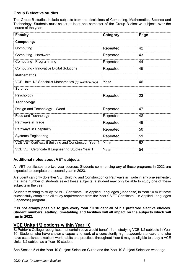#### **Group B elective studies**

The Group B studies include subjects from the disciplines of Computing, Mathematics, Science and Technology. Students must select at least one semester of the Group B elective subjects over the course of the year.

| <b>Faculty</b>                                            | Category | Page |
|-----------------------------------------------------------|----------|------|
| <b>Computing:</b>                                         |          |      |
| Computing                                                 | Repeated | 42   |
| Computing - Hardware                                      | Repeated | 43   |
| Computing - Programming                                   | Repeated | 44   |
| <b>Computing - Innovative Digital Solutions</b>           | Repeated | 45   |
| <b>Mathematics</b>                                        |          |      |
| VCE Units 1/2 Specialist Mathematics (by invitation only) | Year     | 46   |
| <b>Science</b>                                            |          |      |
| Psychology                                                | Repeated | 23   |
| <b>Technology</b>                                         |          |      |
| Design and Technology - Wood                              | Repeated | 47   |
| Food and Technology                                       | Repeated | 48   |
| Pathways in Trade                                         | Repeated | 49   |
| Pathways in Hospitality                                   | Repeated | 50   |
| <b>Systems Engineering</b>                                | Repeated | 51   |
| VCE VET Certificate II Building and Construction Year 1   | Year     | 52   |
| VCE VET Certificate II Engineering Studies Year 1         | Year     | 54   |

#### **Additional notes about VET subjects**

All VET certificates are two-year courses. Students commencing any of these programs in 2022 are expected to complete the second year in 2023.

A student can only do either VET Building and Construction or Pathways in Trade in any one semester. If a large number of students select these subjects, a student may only be able to study one of these subjects in the year.

Students wishing to study the VET Certificate II in Applied Languages (Japanese) in Year 10 must have successfully completed all study requirements from the Year 9 VET Certificate II in Applied Languages (Japanese) program.

**It is not always possible to give every Year 10 student all of his preferred elective choices. Student numbers, staffing, timetabling and facilities will all impact on the subjects which will run in 2022**.

### **VCE Units 1/2 options within Year 10**

St Patrick's College recognises that certain boys would benefit from studying VCE 1/2 subjects in Year 10. Students who have shown a capacity to work at a consistently high academic standard and who have established excellent work habits and practices throughout Year 9 may be eligible to study a VCE Units 1/2 subject as a Year 10 student.

See Section 5 of the Year 10 Subject Selection Guide and the Year 10 Subject Selection webpage.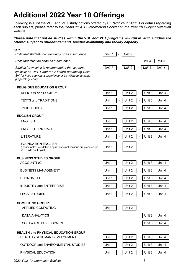# <span id="page-5-0"></span>**Additional 2022 Year 10 Offerings**

Following is a list the VCE and VET study options offered by St Patrick's in 2022. For details regarding each subject, please refer to the *Years 11 & 12 Information Booklet on the Year 10 Subject Selection website*.

#### *Please note that not all studies within the VCE and VET programs will run in 2022. Studies are offered subject to student demand, teacher availability and facility capacity*.

#### *KEY*

*Units that students can do singly or as a sequence* 

*Units that must be done as a sequence* 

*Studies for which it is recommended that students typically do Unit 1 and /or 2 before attempting Units 3/4 (or have equivalent experience or be willing to do some preparatory work).*

| Unit 1 - Unit 2                 |                 |  |
|---------------------------------|-----------------|--|
|                                 | Unit $3$ Unit 4 |  |
| Unit 1 - Unit 2 - Unit 3 Unit 4 |                 |  |

| <b>RELIGIOUS EDUCATION GROUP</b>                                                                                           |        |                                                                    |        |        |
|----------------------------------------------------------------------------------------------------------------------------|--------|--------------------------------------------------------------------|--------|--------|
| <b>RELIGION and SOCIETY</b>                                                                                                | Unit 1 | Unit 2                                                             | Unit 3 | Unit 4 |
| <b>TEXTS and TRADITIONS</b>                                                                                                | Unit 1 | Unit 2<br>$\overline{a}$<br>$\overline{\phantom{a}}$               | Unit 3 | Unit 4 |
| <b>PHILOSOPHY</b>                                                                                                          | Unit 1 | Unit 2                                                             | Unit 3 | Unit 4 |
| <b>ENGLISH GROUP</b>                                                                                                       |        |                                                                    |        |        |
| <b>ENGLISH</b>                                                                                                             | Unit 1 | Unit 2                                                             | Unit 3 | Unit 4 |
| <b>ENGLISH LANGUAGE</b>                                                                                                    | Unit 1 | Unit 2<br>$\overline{\phantom{0}}$<br>$\qquad \qquad \blacksquare$ | Unit 3 | Unit 4 |
| <b>LITERATURE</b>                                                                                                          | Unit 1 | Unit 2<br>$\blacksquare$<br>$\blacksquare$                         | Unit 3 | Unit 4 |
| <b>FOUNDATION ENGLISH</b><br>(Please note: Foundation English does not continue but prepares for<br>VCE units 3/4 English) | Unit 1 | Unit 2                                                             |        |        |
| <b>BUSINESS STUDIES GROUP:</b>                                                                                             |        |                                                                    |        |        |
| <b>ACCOUNTING</b>                                                                                                          | Unit 1 | Unit 2<br>÷,<br>$\overline{a}$                                     | Unit 3 | Unit 4 |
| <b>BUSINESS MANAGEMENT</b>                                                                                                 | Unit 1 | Unit 2                                                             | Unit 3 | Unit 4 |
| <b>ECONOMICS</b>                                                                                                           | Unit 1 | Unit 2                                                             | Unit 3 | Unit 4 |
| <b>INDUSTRY and ENTERPRISE</b>                                                                                             | Unit 1 | Unit 2                                                             | Unit 3 | Unit 4 |
| <b>LEGAL STUDIES</b>                                                                                                       | Unit 1 | Unit 2                                                             | Unit 3 | Unit 4 |
| <b>COMPUTING GROUP:</b>                                                                                                    |        |                                                                    |        |        |
| <b>APPLIED COMPUTING</b>                                                                                                   | Unit 1 | Unit 2                                                             |        |        |
| <b>DATA ANALYTICS</b>                                                                                                      |        |                                                                    | Unit 3 | Unit 4 |
| SOFTWARE DEVELOPMENT                                                                                                       |        |                                                                    | Unit 3 | Unit 4 |
| <b>HEALTH and PHYSICAL EDUCATION GROUP:</b>                                                                                |        |                                                                    |        |        |
| <b>HEALTH and HUMAN DEVELOPMENT</b>                                                                                        | Unit 1 | Unit 2                                                             | Unit 3 | Unit 4 |
| <b>OUTDOOR and ENVIRONMENTAL STUDIES</b>                                                                                   | Unit 1 | Unit 2                                                             | Unit 3 | Unit 4 |
| PHYSICAL EDUCATION                                                                                                         | Unit 1 | Unit 2                                                             | Unit 3 | Unit 4 |
|                                                                                                                            |        |                                                                    |        |        |

*2022 Year 10 Information Booklet* 6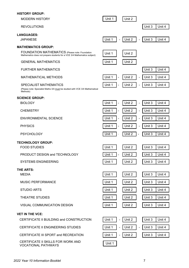#### **HISTORY GROUP:**

| <b>MODERN HISTORY</b>                                                                                                                                    | Unit 1                   | Unit 2                             |        |        |
|----------------------------------------------------------------------------------------------------------------------------------------------------------|--------------------------|------------------------------------|--------|--------|
| <b>REVOLUTIONS</b>                                                                                                                                       |                          |                                    | Unit 3 | Unit 4 |
| <b>LANGUAGES:</b><br><b>JAPANESE</b>                                                                                                                     | Unit 1<br>÷,             | Unit 2<br>$\overline{\phantom{a}}$ | Unit 3 | Unit 4 |
| <b>MATHEMATICS GROUP:</b><br>FOUNDATION MATHEMATICS (Please note: Foundation<br>Mathematics does not prepare students for a VCE 3/4 Mathematics subject) | Unit 1                   | Unit 2                             |        |        |
| <b>GENERAL MATHEMATICS</b>                                                                                                                               | Unit 1                   | Unit 2                             |        |        |
| <b>FURTHER MATHEMATICS</b>                                                                                                                               |                          |                                    | Unit 3 | Unit 4 |
| <b>MATHEMATICAL METHODS</b>                                                                                                                              | Unit 1<br>÷,             | Unit 2<br>$\overline{a}$           | Unit 3 | Unit 4 |
| SPECIALIST MATHEMATICS<br>(Please note: Specialist Maths 3/4 must be studied with VCE 3/4 Mathematical<br>Methods)                                       | Unit 1<br>÷,             | Unit 2<br>÷                        | Unit 3 | Unit 4 |
| <b>SCIENCE GROUP:</b>                                                                                                                                    |                          |                                    |        |        |
| <b>BIOLOGY</b>                                                                                                                                           | Unit 1<br>$\blacksquare$ | Unit 2<br>$\blacksquare$           | Unit 3 | Unit 4 |
| <b>CHEMISTRY</b>                                                                                                                                         | Unit 1<br>$\overline{a}$ | Unit 2<br>$\overline{a}$           | Unit 3 | Unit 4 |
| <b>ENVIRONMENTAL SCIENCE</b>                                                                                                                             | Unit 1<br>$\blacksquare$ | Unit 2<br>÷                        | Unit 3 | Unit 4 |
| <b>PHYSICS</b>                                                                                                                                           | Unit 1<br>$\overline{a}$ | Unit 2<br>÷                        | Unit 3 | Unit 4 |
| <b>PSYCHOLOGY</b>                                                                                                                                        | Unit 1<br>÷,             | Unit 2<br>$\blacksquare$           | Unit 3 | Unit 4 |
| <b>TECHNOLOGY GROUP:</b><br><b>FOOD STUDIES</b>                                                                                                          | Unit 1                   | Unit 2                             | Unit 3 | Unit 4 |
| PRODUCT DESIGN and TECHNOLOGY                                                                                                                            | Unit 1<br>$\blacksquare$ | Unit 2                             | Unit 3 | Unit 4 |
| <b>SYSTEMS ENGINEERING</b>                                                                                                                               | Unit 1                   | Unit 2                             | Unit 3 | Unit 4 |
| THE ARTS:                                                                                                                                                |                          |                                    |        |        |
| <b>MEDIA</b>                                                                                                                                             | Unit 1                   | Unit 2                             | Unit 3 | Unit 4 |
| <b>MUSIC PERFORMANCE</b>                                                                                                                                 | Unit 1                   | Unit 2                             | Unit 3 | Unit 4 |
| <b>STUDIO ARTS</b>                                                                                                                                       | Unit 1                   | Unit 2                             | Unit 3 | Unit 4 |
| <b>THEATRE STUDIES</b>                                                                                                                                   | Unit 1                   | Unit 2                             | Unit 3 | Unit 4 |
| VISUAL COMMUNICATION DESIGN                                                                                                                              | Unit 1                   | Unit 2                             | Unit 3 | Unit 4 |
| <b>VET IN THE VCE:</b>                                                                                                                                   |                          |                                    |        |        |
| CERTIFICATE II BUILDING and CONSTRUCTION                                                                                                                 | Unit 1<br>$\blacksquare$ | Unit 2                             | Unit 3 | Unit 4 |
| CERTIFICATE II ENGINEERING STUDIES                                                                                                                       | Unit 1<br>$\frac{1}{2}$  | Unit 2<br>$\frac{1}{2}$            | Unit 3 | Unit 4 |
| CERTIFICATE III SPORT and RECREATION                                                                                                                     | Unit 1<br>$\frac{1}{2}$  | Unit 2                             | Unit 3 | Unit 4 |
| CERTIFICATE II SKILLS FOR WORK AND<br><b>VOCATIONAL PATHWAYS</b>                                                                                         | Unit 1                   |                                    |        |        |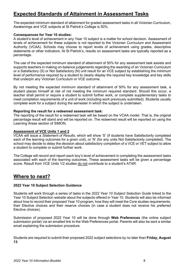## <span id="page-7-0"></span>**Expected Standards of Attainment in Assessment Tasks**

The expected minimum standard of attainment for graded assessment tasks in all Victorian Curriculum, Awakenings and VCE subjects at St Patrick's College is 50%.

#### **Consequences for Year 10 studies:**

A student's level of achievement in any Year 10 subject is a matter for school decision. Assessment of levels of achievement for these subjects is not reported to the Victorian Curriculum and Assessment Authority (VCAA). Schools may choose to report levels of achievement using grades, descriptive statements or other indicators. At St Patrick's, results on assessment tasks are typically reported as a percentage.

The use of the expected minimum standard of attainment of 50% for any assessment task assists and supports teachers in making on-balance judgements regarding the awarding of an Victorian Curriculum or a Satisfactory (S) or Not Satisfactory (N) unit result for an VCE subject by establishing the minimum level of performance required by a student to clearly display the required key knowledge and key skills that underpin any Victorian Curriculum or VCE outcome.

By not meeting the expected minimum standard of attainment of 50% for any assessment task, a student places himself at risk of not meeting the minimum required standard. Should this occur, a teacher shall permit or require a student to submit further work, or complete supplementary tasks to meet completion requirements of a unit of work (including work previously submitted). Students usually complete work for a subject during the semester in which the subject is undertaken.

#### **Reporting the result for a redeemed assessment task:**

The reporting of the result for a redeemed task will be based on the VCAA model. That is, the original percentage result will stand and will be reported on. The redeemed result will be reported on using the Learning Areas section of SIMON.

#### **Assessment of VCE Units 1 and 2**

VCAA will issue a *Statement of Results*, which will show 'S' (if students have Satisfactorily completed each of the learning outcomes for a given unit), or 'N' (for any units Not Satisfactorily completed). The school may decide to delay the decision about satisfactory completion of a VCE or VET subject to allow a student to complete or submit further work.

The College will record and report each boy's level of achievement in completing the assessment tasks associated with each of the learning outcomes. These assessment tasks will be given a percentage score. Result from VCE Units 1/2 studies do not contribute to a student's ATAR.

## <span id="page-7-1"></span>**Where to next?**

#### **2022 Year 10 Subject Selection Guidance**

Students will work through a series of tasks in the *2022 Year 10 Subject Selection Guide* linked to the Year 10 Subject Selection website about the subjects offered in Year 10. Students will also be informed about how to record their proposed Year 10 program, how they will meet the Core studies requirements, their Elective choices and their reserve choices (in case a student does not receive his preferred Elective choices).

Submission of proposed 2022 Year 10 will be done through **Web Preferences** (the online subject submission portal) via an emailed link to the Web Preferences portal. Parents will also be sent a similar email explaining the submission procedure.

Students are required to submit their proposed 2022 subject selections by no later than **Friday, August 13**.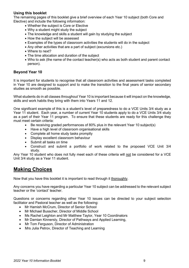#### **Using this booklet**

The remaining pages of this booklet give a brief overview of each Year 10 subject (both Core and Elective) and include the following information:

- Whether the subject is Core or Elective
- Why a student might study the subject
- The knowledge and skills a student will gain by studying the subject
- How the subject will be assessed
- Examples of the types of classroom activities the students will do in the subject
- Any other activities that are a part of subject (excursions etc.)
- Where to next?
- The time allocation and duration of the subject
- Who to ask (the name of the contact teacher(s) who acts as both student and parent contact person).

#### **Beyond Year 10**

It is important for students to recognise that all classroom activities and assessment tasks completed in Year 10 are designed to support and to make the transition to the final years of senior secondary studies as smooth as possible.

What students do in all classes throughout Year 10 is important because it will impact on the knowledge, skills and work habits they bring with them into Years 11 and 12.

One significant example of this is a student's level of preparedness to do a VCE Units 3/4 study as a Year 11 student. Each year, a number of current Year 10 students apply to do a VCE Units 3/4 study as a part of their Year 11 program. To ensure that these students are ready for this challenge they must meet certain criteria:

- Be receiving graded performances of 80% plus in the relevant Year 10 subject(s)
- Have a high level of classroom organisational skills
- Complete all home study tasks promptly
- Display excellent classroom behaviour
- Submit all tasks on time
- Construct and submit a portfolio of work related to the proposed VCE Unit 3/4 study.

Any Year 10 student who does not fully meet each of these criteria will not be considered for a VCE Unit 3/4 study as a Year 11 student.

## **Making Choices**

Now that you have this booklet it is important to read through it thoroughly.

Any concerns you have regarding a particular Year 10 subject can be addressed to the relevant subject teacher or the 'contact' teacher.

Questions or concerns regarding other Year 10 issues can be directed to your subject selection facilitator and Pastoral teacher as well as the following:

- Mr Hamish McCrum, Director of Senior School
- Mr Michael Busscher, Director of Middle School
- Ms Rachel Leighton and Mr Matthew Taylor, Year 10 Coordinators
- Mr Damian Kinnersly, Director of Pathways and Applied Learning,
- Mr Tom Ferguson, Director of Administration
- Mrs Julia Petrov, Director of Teaching and Learning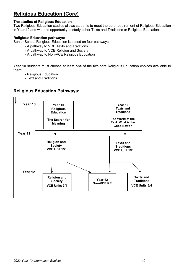# <span id="page-9-0"></span>**Religious Education (Core)**

#### **The studies of Religious Education**

Two Religious Education studies allows students to meet the core requirement of Religious Education in Year 10 and with the opportunity to study either Texts and Traditions or Religious Education.

#### **Religious Education pathways:**

Senior School Religious Education is based on four pathways:

- A pathway to VCE Texts and Traditions
- A pathway to VCE Religion and Society
- A pathway to Non-VCE Religious Education

Year 10 students must choose at least **one** of the two core Religious Education choices available to them:

- Religious Education
- Text and Traditions

## **Religious Education Pathways:**

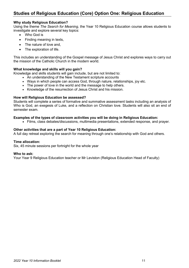## **Studies of Religious Education (Core) Option One: Religious Education**

#### **Why study Religious Education?**

Using the theme *The Search for Meaning*, the Year 10 Religious Education course allows students to investigate and explore several key topics:

- Who God is
- Finding meaning in texts,
- The nature of love and,
- The exploration of life.

This includes an understanding of the Gospel message of Jesus Christ and explores ways to carry out the mission of the Catholic Church in the modern world.

#### **What knowledge and skills will you gain?**

Knowledge and skills students will gain include, but are not limited to:

- An understanding of the New Testament scripture accounts
- Ways in which people can access God, through nature, relationships, joy etc.
- The power of love in the world and the message to help others.
- Knowledge of the resurrection of Jesus Christ and his mission.

#### **How will Religious Education be assessed?**

Students will complete a series of formative and summative assessment tasks including an analysis of Who is God, an exegesis of Luke, and a reflection on Christian love. Students will also sit an end of semester exam.

#### **Examples of the types of classroom activities you will be doing in Religious Education:**

• Films, class debates/discussions, multimedia presentations, extended response, and prayer.

#### **Other activities that are a part of Year 10 Religious Education:**

A full day retreat exploring the search for meaning through one's relationship with God and others.

#### **Time allocation:**

Six, 45 minute sessions per fortnight for the whole year

#### **Who to ask:**

Your Year 9 Religious Education teacher or Mr Leviston (Religious Education Head of Faculty)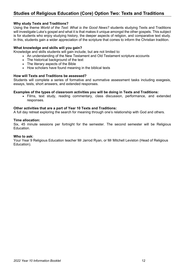## **Studies of Religious Education (Core) Option Two: Texts and Traditions**

#### **Why study Texts and Traditions?**

Using the theme *World of the Text: What is the Good News?* students studying Texts and Traditions will investigate Luke's gospel and what it is that makes it unique amongst the other gospels. This subject is for students who enjoy studying history, the deeper aspects of religion, and comparative text study. In this, students gain a wider appreciation of the scripture that comes to inform the Christian tradition.

#### **What knowledge and skills will you gain?**

Knowledge and skills students will gain include, but are not limited to:

- An understanding of the New Testament and Old Testament scripture accounts
- The historical background of the text
- The literary aspects of the Bible
- How scholars have found meaning in the biblical texts

#### **How will Texts and Traditions be assessed?**

Students will complete a series of formative and summative assessment tasks including exegesis, essays, tests, short answers, and extended responses.

#### **Examples of the types of classroom activities you will be doing in Texts and Traditions:**

• Films, text study, reading commentary, class discussion, performance, and extended responses.

#### **Other activities that are a part of Year 10 Texts and Traditions:**

A full day retreat exploring the search for meaning through one's relationship with God and others.

#### **Time allocation:**

Six, 45 minute sessions per fortnight for the semester. The second semester will be Religious Education.

#### **Who to ask:**

Your Year 9 Religious Education teacher Mr Jarrod Ryan, or Mr Mitchell Leviston (Head of Religious Education).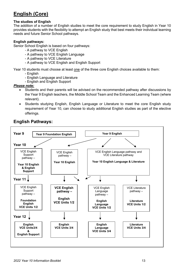# <span id="page-12-0"></span>**English (Core)**

#### **The studies of English**

The addition of a number of English studies to meet the core requirement to study English in Year 10 provides students with the flexibility to attempt an English study that best meets their individual learning needs and future Senior School pathways.

#### **English pathways:**

Senior School English is based on four pathways:

- A pathway to VCE English
- A pathway to VCE English Language
- A pathway to VCE Literature
- A pathway to VCE English and English Support

Year 10 students must choose at least one of the three core English choices available to them:

- English
- English Language and Literature
- English and English Support

#### *Please note:*

- Students and their parents will be advised on the recommended pathway after discussions by the Year 9 English teachers, the Middle School Team and the Enhanced Learning Team (where relevant).
- Students studying English, English Language or Literature to meet the core English study requirement of Year 10, can choose to study additional English studies as part of the elective offerings*.*

## **English Pathways:**

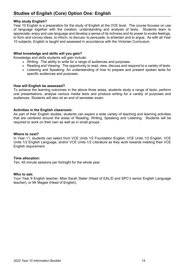## **Studies of English (Core) Option One: English**

#### **Why study English?**

Year 10 English is a preparation for the study of English at the VCE level. The course focuses on use of language together with the creation, understanding and analysis of texts. Students learn to appreciate, enjoy and use language and develop a sense of its richness and its power to evoke feelings, to form and convey ideas, to inform, to discuss, to persuade, to entertain and to argue. As with all Year 10 subjects, English is taught and assessed in accordance with the Victorian Curriculum.

#### **What knowledge and skills will you gain?**

Knowledge and skills students will gain include:

- Writing: The ability to write for a range of audiences and purposes.
- Reading and Viewing: The opportunity to read, view, discuss and respond to a variety of texts.
- Listening and Speaking: An understanding of how to prepare and present spoken texts for specific audiences and purposes.

#### **How will English be assessed?**

To achieve the learning outcomes in the above three areas, students study a range of texts, perform oral presentations, analyse various media texts and produce writing for a variety of purposes and audiences. Students will also sit an end of semester exam.

#### **Activities in the English classroom:**

As part of their English studies, students can expect a wide variety of teaching and learning activities that are centered around the areas of Reading, Writing, Speaking and Listening. Students will be required to work on their own as well as in small groups.

#### **Where to next?**

In Year 11, students can select from VCE Units 1/2 Foundation English, VCE Units 1/2 English, VCE Units 1/2 English Language, and/or VCE Units 1/2 Literature as they work towards meeting their VCE English requirement.

#### **Time allocation:**

Ten, 45 minute sessions per fortnight for the whole year.

#### **Who to ask:**

Your Year 9 English teacher, Miss Sarah Slater (Head of EAL/D and SPC's senior English Language teacher), or Mr Magee (Head of English).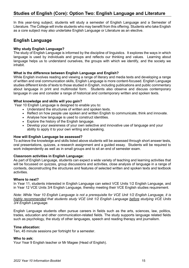## **Studies of English (Core): Option Two: English Language and Literature**

In this year-long subject, students will study a semester of English Language and a Semester of Literature. The College will invite students who may benefit from this offering. Students who take English as a core subject may also undertake English Language or Literature as an elective.

## **English Language**

#### **Why study English Language?**

The study of English Language is informed by the discipline of linguistics. It explores the ways in which language is used by individuals and groups and reflects our thinking and values. Learning about language helps us to understand ourselves, the groups with which we identify, and the society we inhabit.

#### **What is the difference between English Language and English?**

While English involves reading and viewing a range of literary and media texts and developing a range of written and oral communication skills, English Language is more content-focused. English Language studies different kinds of texts to those studied in English, including publications and public commentary about language in print and multimodal form. Students also observe and discuss contemporary language in use and consider a range of historical and contemporary written and spoken texts.

#### **What knowledge and skills will you gain?**

Year 10 English Language is designed to enable you to:

- Understand the structures of written and spoken texts.
- Reflect on how people use spoken and written English to communicate, think and innovate.
- Analyse how language is used to construct identities.
- Explore the history of the English language.
- Develop your awareness of your own selective and innovative use of language and your ability to apply it to your own writing and speaking.

#### **How will English Language be assessed?**

To achieve the knowledge and skills listed above students will be assessed through short answer tests, oral presentations, quizzes, a research assignment and a guided essay. Students will be required to work independently as well as in small groups and to sit an end of semester exam.

#### **Classroom activities in English Language:**

As part of English Language, students can expect a wide variety of teaching and learning activities that will be focussed on quizzes, group discussions and activities, close analysis of language in a range of contexts, deconstructing the structures and features of selected written and spoken texts and textbook activities.

#### **Where to next?**

In Year 11, students interested in English Language can select VCE Units 1/2 English Language, and in Year 12 VCE Units 3/4 English Language, thereby meeting their VCE English studies requirement.

*Note: While Year 10 English Language is not a prerequisite for VCE Unit 1/2 English Language, it is highly recommended that students study VCE Unit 1/2 English Language before studying VCE Units 3/4 English Language.* 

English Language students often pursue careers in fields such as the arts, sciences, law, politics, trades, education and other communication-related fields. The study supports language related fields such as psychology, the study of other languages, speech and reading therapy and journalism.

#### **Time allocation:**

Ten, 45 minute sessions per fortnight for a semester.

#### **Who to ask:**

Your Year 9 English teacher or Mr Magee (Head of English).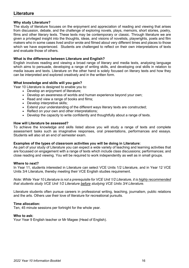## **Literature**

#### **Why study Literature?**

The study of literature focuses on the enjoyment and appreciation of reading and viewing that arises from discussion, debate, and the challenge of exploring novels, plays, memoirs, short stories, poetry, films and other literary texts. These texts may be contemporary or classic. Through literature we are given a privileged insight into the thoughts, ideas, and visions of novelists, playwrights, poets and film makers who in some cases lived and/or wrote and filmed about very different times and places to those which we have experienced. Students are challenged to reflect on their own interpretations of texts and evaluate those of others.

#### **What is the difference between Literature and English?**

English involves reading and viewing a broad range of literary and media texts, analysing language which aims to persuade, developing a range of writing skills, and developing oral skills in relation to media issues and texts. Literature on the other hand is solely focused on literary texts and how they can be interpreted and explored creatively and in the written form.

#### **What knowledge and skills will you gain?**

Year 10 Literature is designed to enable you to:

- Develop an enjoyment of literature;
- Develop an awareness of worlds and human experience beyond your own;
- Read and view a range of books and films;
- Develop interpretive skills;
- Extend your understanding of the different ways literary texts are constructed;
- Reflect on your own and other interpretations;
- Develop the capacity to write confidently and thoughtfully about a range of texts.

#### **How will Literature be assessed?**

To achieve the knowledge and skills listed above you will study a range of texts and complete assessment tasks such as imaginative responses, oral presentations, performances and essays. Students will also sit an end of semester exam.

#### **Examples of the types of classroom activities you will be doing in Literature:**

As part of your study of Literature you can expect a wide variety of teaching and learning activities that are focussed on engagement with a range of texts which include class discussions; performances; and close reading and viewing. You will be required to work independently as well as in small groups.

#### **Where to next?**

In Year 11, students interested in Literature can select VCE Units 1/2 Literature, and in Year 12 VCE Units 3/4 Literature, thereby meeting their VCE English studies requirement.

*Note: While Year 10 Literature is not a prerequisite for VCE Unit 1/2 Literature, it is highly recommended that students study VCE Unit 1/2 Literature before studying VCE Units 3/4 Literature.*

Literature students often pursue careers in professional writing, teaching, journalism, public relations and the arts. Others use their love of literature for recreational pursuits.

#### **Time allocation:**

Ten, 45 minute sessions per fortnight for the whole year.

#### **Who to ask:**

Your Year 9 English teacher or Mr Magee (Head of English).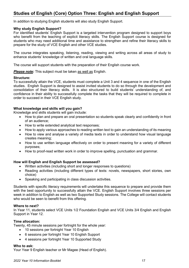## **Studies of English (Core) Option Three: English and English Support**

In addition to studying English students will also study English Support.

#### **Why study English Support?**

For identified students' English Support is a targeted intervention program designed to support boys who benefit from the teaching of explicit literacy skills. The English Support course is designed for students who may need additional time and assistance to strengthen and refine their literacy skills to prepare for the study of VCE English and other VCE studies.

The course integrates speaking, listening, reading, viewing and writing across all areas of study to enhance students' knowledge of written and oral language skills.

The course will support students with the preparation of their English course work.

*Please note:* This subject must be taken as well as English.

#### **Structure:**

To successfully attain the VCE, students must complete a Unit 3 and 4 sequence in one of the English studies. English Support is designed to assist invited students to do so through the development and consolidation of their literacy skills. It is also structured to build students' understanding of, and confidence in their ability to successfully complete the tasks that they will be required to complete in order to succeed in their VCE English study.

#### **What knowledge and skills will you gain?**

Knowledge and skills students will gain include:

- How to plan and prepare an oral presentation so students speak clearly and confidently in front of an audience;
- How to write extended analytical text responses;
- How to apply various approaches to reading written text to gain an understanding of its meaning
- How to view and analyse a variety of media texts in order to understand how visual language creates meaning;
- How to use written language effectively on order to present meaning for a variety of different purposes;
- How to proof-read written work in order to improve spelling, punctuation and grammar.

#### **How will English and English Support be assessed?**

- Written activities (including short and longer responses to questions)
- Reading activities (including different types of texts: novels, newspapers, short stories, own choice)
- Speaking and participating in class discussion activities.

Students with specific literacy requirements will undertake this sequence to prepare and provide them with the best opportunity to successfully attain the VCE. English Support involves three sessions per week in addition to English as well as two Supported Study sessions. The College will contact students who would be seen to benefit from this offering.

#### **Where to next?**

In Year 11, students select VCE Units 1/2 Foundation English and VCE Units 3/4 English and English Support in Year 12.

#### **Time allocation:**

Twenty, 45 minute sessions per fortnight for the whole year:

- 10 sessions per fortnight Year 10 English
- 6 sessions per fortnight Year 10 English Support
- 4 sessions per fortnight Year 10 Supported Study

#### **Who to ask:**

Your Year 9 English teacher or Mr Magee (Head of English).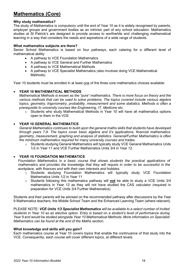# <span id="page-17-0"></span>**Mathematics (Core)**

#### **Why study mathematics?**

The study of Mathematics is compulsory until the end of Year 10 as it is widely recognised by parents, employer groups and government bodies as an intrinsic part of any school education. Mathematics studies at St Patrick's are designed to provide access to worthwhile and challenging mathematical learning in a way that considers the needs and aspirations of a wide range of students.

#### **What mathematics subjects are there?**

Senior School Mathematics is based on four pathways, each catering for a different level of mathematical ability:

- A pathway to VCE Foundation Mathematics
- A pathway to VCE General and Further Mathematics
- A pathway to VCE Mathematical Methods
- A pathway to VCE Specialist Mathematics (also involves doing VCE Mathematical Methods)

Year 10 students must be enrolled in at least one of the three core mathematics choices available:

#### • **YEAR 10 MATHEMATICAL METHODS**

*Mathematical Methods is known as the "pure" mathematics. There is more focus on theory and the various methods that can be used to solve problems. The topics covered include various algebra topics, geometry, trigonometry, probability, measurement and some statistics. Methods is often a prerequisite to university courses like Engineering, IT, Medicine etc.*

 $\circ$  Students who study Mathematical Methods in Year 10 will have all mathematics options open to them in the VCE.

#### • **YEAR 10 GENERAL MATHEMATICS**

*General Mathematics continues to build upon the general maths skills that students have developed through years 7-9. The topics cover basic algebra and it's applications, financial mathematics, geometry, measurement, graphing and analysis of statistics. General/Further Mathematics is often the minimum mathematics required for many university courses and trades.*

o Students studying General Mathematics will typically study VCE General Mathematics Units 1/2 in Year 11 and VCE Further Mathematics Units 3/4 in Year 12.

#### • **YEAR 10 FOUNDATION MATHEMATICS**

*Foundation Mathematics is a basic course that shows students the practical applications of mathematics and provides the knowledge that they will require in order to be successful in the workplace, with finances and with their own interests and hobbies.* 

- o Students studying Foundation Mathematics will typically study VCE Foundation Mathematics Units 1/2 in Year 11
- o Students following this mathematics pathway will **not** be able to study a VCE Units 3/4 mathematics in Year 12 as they will not have studied the CAS calculator (required in preparation for VCE Units 3/4 Further Mathematics)

Students and their parents will be advised on the recommended pathway after discussions by the Year 9 Mathematics teachers, the Middle School Team and the Enhanced Learning Team (where relevant).

PLEASE NOTE: *VCE Units 1/2 Specialist Mathematics will be available to a select number of invited students in Year 10 as an elective option. Entry is based on a student's level of performance during Year 9 and would be studied alongside Year 10 Mathematical Methods. More information on Specialist Mathematics can be found at the end of the Maths section.* 

#### **What knowledge and skills will you gain?**

Each mathematics course at Year 10 covers topics that enable the continuance of that study into the VCE. Consequently, each course will cover different topics, at different levels.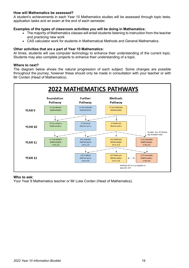#### **How will Mathematics be assessed?**

A student's achievements in each Year 10 Mathematics studies will be assessed through topic tests, application tasks and an exam at the end of each semester.

#### **Examples of the types of classroom activities you will be doing in Mathematics:**

- The majority of Mathematics classes will entail students listening to instruction from the teacher and practicing new work
- CAS calculator work for students in Mathematical Methods and General Mathematics.

#### **Other activities that are a part of Year 10 Mathematics:**

At times, students will use computer technology to enhance their understanding of the current topic. Students may also complete projects to enhance their understanding of a topic.

#### **Where to next?**

The diagram below shows the natural progression of each subject. Some changes are possible throughout the journey, however these should only be made in consultation with your teacher or with Mr Corden (Head of Mathematics).



#### **Who to ask:**

Your Year 9 Mathematics teacher or Mr Luke Corden (Head of Mathematics).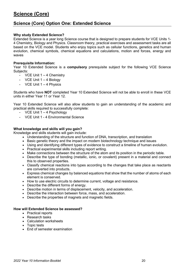## <span id="page-19-0"></span>**Science (Core) Option One: Extended Science**

#### **Why study Extended Science?**

Extended Science is a year long Science course that is designed to prepare students for VCE Units 1- 4 Chemistry, Biology and Physics. Classroom theory, practical exercises and assessment tasks are all based on the VCE model. Students who enjoy topics such as cellular functions, genetics and human evolution, chemical symbols, chemical equations and calculations, motion and forces, energy and waves

#### **Prerequisite Information:**

Year 10 Extended Science is a **compulsory** prerequisite subject for the following VCE Science Subjects:

- VCE Unit  $1 4$  Chemistry
- VCE Unit  $1 4$  Biology
- VCE Unit  $1 4$  Physics

Students who have **NOT** completed Year 10 Extended Science will not be able to enroll in these VCE units in either Year 11 or Year 12.

Year 10 Extended Science will also allow students to gain an understanding of the academic and practical skills required to successfully complete:

- VCE Unit 1 4 Psychology
- VCE Unit 1 4 Environmental Science

#### **What knowledge and skills will you gain?**

Knowledge and skills students will gain include:

- Understanding of the structure and function of DNA, transcription, and translation
- Basic genetic theory and the impact on modern biotechnology technique and issues
- Using and identifying different types of evidence to construct a timeline of human evolution.
- Practical experimental skills including report writing.
- Make connections between the structure of the atom and its position in the periodic table.
- Describe the type of bonding (metallic, ionic, or covalent) present in a material and connect this to observed properties.
- Classify chemical reactions into types according to the changes that take place as reactants are converted into products.
- Express chemical changes by balanced equations that show that the number of atoms of each element is conserved.
- How to use electric circuits to determine current, voltage and resistance.
- Describe the different forms of energy.
- Describe motion in terms of displacement, velocity, and acceleration.
- Describe the interaction between force, mass, and acceleration.
- Describe the properties of magnets and magnetic fields.

#### **How will Extended Science be assessed?**

- Practical reports
- Research tasks
- Calculation worksheets
- Topic tests
- End of semester examination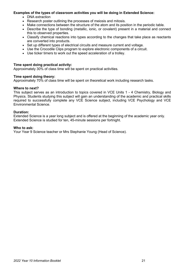#### **Examples of the types of classroom activities you will be doing in Extended Science:**

- DNA extraction
- Research poster outlining the processes of meiosis and mitosis.
- Make connections between the structure of the atom and its position in the periodic table.
- Describe the type of bonding (metallic, ionic, or covalent) present in a material and connect this to observed properties.
- Classify chemical reactions into types according to the changes that take place as reactants are converted into products.
- Set up different types of electrical circuits and measure current and voltage.
- Use the Crocodile Clips program to explore electronic components of a circuit.
- Use ticker timers to work out the speed acceleration of a trolley.

#### **Time spent doing practical activity:**

Approximately 30% of class time will be spent on practical activities.

#### **Time spent doing theory:**

Approximately 70% of class time will be spent on theoretical work including research tasks.

#### **Where to next?**

This subject serves as an introduction to topics covered in VCE Units 1 - 4 Chemistry, Biology and Physics. Students studying this subject will gain an understanding of the academic and practical skills required to successfully complete any VCE Science subject, including VCE Psychology and VCE Environmental Science.

#### **Duration:**

Extended Science is a year long subject and is offered at the beginning of the academic year only. Extended Science is studied for ten, 45-minute sessions per fortnight.

#### **Who to ask:**

Your Year 9 Science teacher or Mrs Stephanie Young (Head of Science).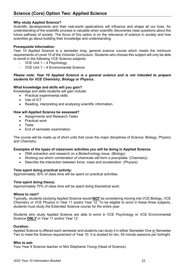#### **Why study Applied Science?**

Scientific developments and their real-world applications will influence and shape all our lives. An understanding of the scientific process is valuable when scientific discoveries raise questions about the future pathway of society. The focus of this option is on the relevance of science in society and how scientists go about building their knowledge and understanding.

#### **Prerequisite Information:**

Year 10 Applied Science is a semester long, general science course which meets the minimum requirements of Level 10 of the Victorian Curriculum. Students who choose this subject will only be able to enroll in the following VCE Science subjects:

- VCE Unit  $1 4$  Psychology
- VCE Unit 1 4 Environmental Science

#### *Please note: Year 10 Applied Science is a general science and is not intended to prepare students for VCE Chemistry, Biology or Physics.*

#### **What knowledge and skills will you gain?**

Knowledge and skills students will gain include:

- Practical experimental skills
- Use of ICT
- Reading, interpreting and analysing scientific information.

#### **How will Applied Science be assessed?**

- Assignments and Research Tasks
- Practical work
- Tests
- End of semester examination.

The course will be made up of short units that cover the major disciplines of Science: Biology, Physics and Chemistry.

#### **Examples of the types of classroom activities you will be doing in Applied Science.**

- DNA extraction and research on a Biotechnology issue. (Biology)
- Working out which combination of chemicals will form a precipitate. (Chemistry)
- Describe the interaction between force, mass and acceleration. (Physics)

#### **Time spent doing practical activity:**

Approximately 30% of class time will be spent on practical activities.

#### **Time spent doing theory:**

Approximately 70% of class time will be spent doing theoretical work.

#### **Where to next?**

Typically, students studying Applied Science would **NOT** be considering moving into VCE Biology, VCE Chemistry or VCE Physics in Year 11 and/or Year 12. To be eligible to enrol in these three subjects, students must study the Extended Science course for the entire year.

Students who study Applied Science are able to enrol in VCE Psychology or VCE Environmental Science **ONLY** in Year 11 and/or Year 12

#### **Duration:**

Applied Science is offered each semester and students can study it in either Semester One or Semester Two to meet the Science requirement of Year 10. It is studied for ten, 45 minute sessions per fortnight.

#### **Who to ask:**

Your Year 9 Science teacher or Mrs Stephanie Young (Head of Science).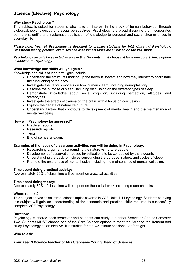## **Science (Elective): Psychology**

#### **Why study Psychology?**

This subject is suited for students who have an interest in the study of human behaviour through biological, psychological, and social perspectives. Psychology is a broad discipline that incorporates both the scientific and systematic application of knowledge to personal and social circumstances in everyday life

*Please note: Year 10 Psychology is designed to prepare students for VCE Units 1-4 Psychology. Classroom theory, practical exercises and assessment tasks are all based on the VCE model.*

*Psychology can only be selected as an elective. Students must choose at least one core Science option in addition to Psychology.*

#### **What knowledge and skills will you gain?**

Knowledge and skills students will gain include:

- Understand the structures making up the nervous system and how they interact to coordinate the functioning of the body
- Investigate the various models on how humans learn, including neuroplasticity
- Describe the purpose of sleep, including discussion on the different types of sleep
- Demonstrate knowledge about social cognition, including perception, attitudes, and stereotypes.
- Investigate the effects of trauma on the brain, with a focus on concussion
- Explore the debate of nature vs nurture
- Understand factors that contribute to development of mental health and the maintenance of mental wellbeing.

#### **How will Psychology be assessed?**

- Practical reports
- Research reports
- Tests
- End of semester exam.

#### **Examples of the types of classroom activities you will be doing in Psychology:**

- Researching arguments surrounding the nature vs nurture debate
- Development of observation-based investigations to be conducted by the students.
- Understanding the basic principles surrounding the purpose, nature, and cycles of sleep.
- Promote the awareness of mental health, including the maintenance of mental wellbeing.

#### **Time spent doing practical activity:**

Approximately 20% of class time will be spent on practical activities.

#### **Time spent doing theory:**

Approximately 80% of class time will be spent on theoretical work including research tasks.

#### **Where to next?**

This subject serves as an introduction to topics covered in VCE Units 1-4 Psychology. Students studying this subject will gain an understanding of the academic and practical skills required to successfully complete VCE Psychology.

#### **Duration:**

Psychology is offered each semester and students can study it in either Semester One or Semester Two. Students **MUST** choose one of the Core Science options to meet the Science requirement and study Psychology as an elective. It is studied for ten, 45-minute sessions per fortnight.

#### **Who to ask:**

#### **Your Year 9 Science teacher or Mrs Stephanie Young (Head of Science).**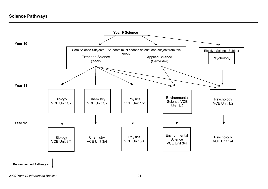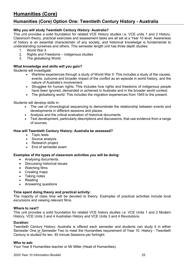## <span id="page-24-0"></span>**Humanities (Core) Option One: Twentieth Century History - Australia**

#### **Why you will study Twentieth Century History: Australia?**

This unit provides a solid foundation for related VCE History studies i.e. VCE units 1 and 2 History. Classroom theory, practical exercises and assessment tasks are all set at a Year 10 level. Awareness of history is an essential characteristic of any society, and historical knowledge is fundamental to understanding ourselves and others. This semester length unit has three depth studies:

- 1. World War II<br>2. Rights and F
- Rights and Freedoms indigenous studies
- 3. The globalising World.

#### **What knowledge and skills will you gain?**

Students will investigate:

- Wartime experiences through a study of World War II: This includes a study of the causes, events, outcome and broader impact of the conflict as an episode in world history, and the nature of Australia's involvement.
- Struggles for human rights: This includes how rights and freedoms of indigenous people have been ignored, demanded or achieved in Australia and in the broader world context.
- The globalising world: This includes the migration experiences from 1945 to the present.

Students will develop skills in:

- The use of chronological sequencing to demonstrate the relationship between events and developments in different sessions and places.
- Analysis and the critical evaluation of historical documents.
- Text development, particularly descriptions and discussions, that use evidence from a range of sources.

#### **How will Twentieth Century History: Australia be assessed?**

- Topic tests
- Source analysis
- Research project
- End of semester exam

#### **Examples of the types of classroom activities you will be doing:**

- Analysing documents.
- Discussing historical issues
- Watching films
- Creating maps
- Taking notes
- Reading
- Answering questions

#### **Time spent doing theory and practical activity:**

The majority of class time will be devoted to theory. Examples of practical activities include local excursions and viewing relevant films.

#### **Where to next?**

This unit provides a solid foundation for related VCE history studies i.e. VCE Units 1 and 2 Modern History, VCE Units 3 and 4 Australian History and VCE Units 3 and 4 Revolutions.

#### **Duration:**

Twentieth Century History: Australia is offered each semester and students can study it in either Semester One or Semester Two to meet the Humanities requirement of Year 10. History - Twentieth Century is studied for ten, 45 minute Sessions per fortnight.

#### **Who to ask:**

Your Year 9 Humanities teacher or Mr Miller (Head of Humanities).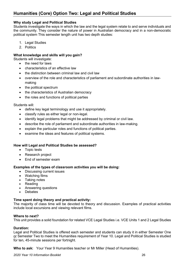## **Humanities (Core) Option Two: Legal and Political Studies**

#### **Why study Legal and Political Studies**

Students investigate the ways in which the law and the legal system relate to and serve individuals and the community. They consider the nature of power in Australian democracy and in a non-democratic political system This semester length unit has two depth studies:

- 1. Legal Studies
- 2. Politics

#### **What knowledge and skills will you gain?**

Students will investigate:

- the need for laws
- characteristics of an effective law
- the distinction between criminal law and civil law
- overview of the role and characteristics of parliament and subordinate authorities in lawmaking
- the political spectrum
- the characteristics of Australian democracy
- the roles and functions of political parties

#### Students will:

- define key legal terminology and use it appropriately.
- classify rules as either legal or non-legal.
- identify legal problems that might be addressed by criminal or civil law.
- describe the role of parliament and subordinate authorities in law-making.
- explain the particular roles and functions of political parties.
- examine the ideas and features of political systems.

#### **How will Legal and Political Studies be assessed?**

- Topic tests
- Research project
- End of semester exam

#### **Examples of the types of classroom activities you will be doing:**

- Discussing current issues
- Watching films
- Taking notes<br>• Reading
- Reading
- Answering questions
- **Debates**

#### **Time spent doing theory and practical activity:**

The majority of class time will be devoted to theory and discussion. Examples of practical activities include local excursions and viewing relevant films.

#### **Where to next?**

This unit provides a solid foundation for related VCE Legal Studies i.e. VCE Units 1 and 2 Legal Studies

#### **Duration:**

Legal and Political Studies is offered each semester and students can study it in either Semester One or Semester Two to meet the Humanities requirement of Year 10. Legal and Political Studies is studied for ten, 45-minute sessions per fortnight.

**Who to ask:** Your Year 9 Humanities teacher or Mr Miller (Head of Humanities).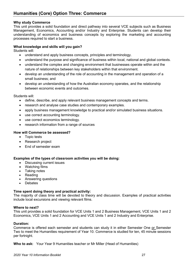#### **Why study Commerce**

This unit provides a solid foundation and direct pathway into several VCE subjects such as Business Management, Economics, Accounting and/or Industry and Enterprise. Students can develop their understanding of economics and business concepts by exploring the marketing and accounting processes required to start a business.

#### **What knowledge and skills will you gain?**

Students will:

- understand and apply business concepts, principles and terminology.
- understand the purpose and significance of business within local, national and global contexts.
- understand the complex and changing environment that businesses operate within and the nature of relationships between key stakeholders within that environment.
- develop an understanding of the role of accounting in the management and operation of a small business; and
- develop an understanding of how the Australian economy operates, and the relationship between economic events and outcomes.

Students will:

- define, describe, and apply relevant business management concepts and terms.
- research and analyse case studies and contemporary examples.
- apply business management knowledge to practical and/or simulated business situations.
- use correct accounting terminology.
- use correct economics terminology.
- research information from a range of sources

#### **How will Commerce be assessed?**

- Topic tests
- Research project
- End of semester exam

#### **Examples of the types of classroom activities you will be doing:**

- Discussing current issues
- Watching films
- Taking notes
- Reading
- Answering questions
- **Debates**

### **Time spent doing theory and practical activity:**

The majority of class time will be devoted to theory and discussion. Examples of practical activities include local excursions and viewing relevant films.

#### **Where to next?**

This unit provides a solid foundation for VCE Units 1 and 2 Business Management, VCE Units 1 and 2 Economics, VCE Units 1 and 2 Accounting and VCE Units 1 and 2 Industry and Enterprise.

#### **Duration:**

Commerce is offered each semester and students can study it in either Semester One or Semester Two to meet the Humanities requirement of Year 10. Commerce is studied for ten, 45 minute sessions per fortnight.

**Who to ask:** Your Year 9 Humanities teacher or Mr Miller (Head of Humanities)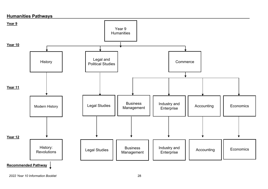

*2022 Year 10 Information Booklet* 28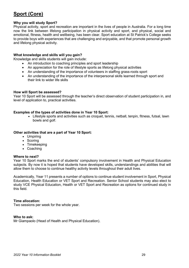# <span id="page-28-0"></span>**Sport (Core)**

#### **Why you will study Sport?**

Physical activity, sport and recreation are important in the lives of people in Australia. For a long time now the link between lifelong participation in physical activity and sport, and physical, social and emotional, fitness, health and wellbeing, has been clear. Sport education at St Patrick's College seeks to provide boys with experiences that are challenging and enjoyable, and that promote personal growth and lifelong physical activity.

#### **What knowledge and skills will you gain?**

Knowledge and skills students will gain include:

- An introduction to coaching principles and sport leadership
- An appreciation for the role of lifestyle sports as lifelong physical activities
- An understanding of the importance of volunteers in staffing grass-roots sport
- An understanding of the importance of the interpersonal skills learned through sport and their link to wider life skills

#### **How will Sport be assessed?**

Year 10 Sport will be assessed through the teacher's direct observation of student participation in, and level of application to, practical activities.

#### **Examples of the types of activities done in Year 10 Sport:**

• Lifestyle sports and activities such as croquet, tennis, netball, tenpin, fitness, futsal, lawn bowls and golf.

#### **Other activities that are a part of Year 10 Sport:**

- Umpiring
- Scoring
- Timekeeping
- Coaching

#### **Where to next?**

Year 10 Sport marks the end of students' compulsory involvement in Health and Physical Education subjects. By now it is hoped that students have developed skills, understandings and abilities that will allow them to choose to continue healthy activity levels throughout their adult lives.

Academically, Year 11 presents a number of options to continue student involvement in Sport, Physical Education, Health Education or VET Sport and Recreation. Senior School students may also elect to study VCE Physical Education, Health or VET Sport and Recreation as options for continued study in this field.

#### **Time allocation:**

Two sessions per week for the whole year.

#### **Who to ask:**

Mr Giampaolo (Head of Health and Physical Education).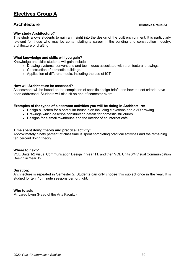## <span id="page-29-0"></span>**Electives Group A**

### **Architecture** (Elective Group A)

#### **Why study Architecture?**

This study allows students to gain an insight into the design of the built environment. It is particularly relevant for those who may be contemplating a career in the building and construction industry, architecture or drafting.

#### **What knowledge and skills will you gain?**

Knowledge and skills students will gain include:

• Drawing systems, conventions and techniques associated with architectural drawings

- Construction of domestic buildings.
- Application of different media, including the use of ICT

#### **How will Architecture be assessed?**

Assessment will be based on the completion of specific design briefs and how the set criteria have been addressed. Students will also sit an end of semester exam.

#### **Examples of the types of classroom activities you will be doing in Architecture:**

- Design a kitchen for a particular house plan including elevations and a 3D drawing
- Drawings which describe construction details for domestic structures
- Designs for a small townhouse and the interior of an internet café.

#### **Time spent doing theory and practical activity:**

Approximately ninety percent of class time is spent completing practical activities and the remaining ten percent doing theory.

#### **Where to next?**

VCE Units 1/2 Visual Communication Design in Year 11, and then VCE Units 3/4 Visual Communication Design in Year 12.

#### **Duration:**

Architecture is repeated in Semester 2. Students can only choose this subject once in the year. It is studied for ten, 45 minute sessions per fortnight.

#### **Who to ask:**

Mr Jared Lynn (Head of the Arts Faculty).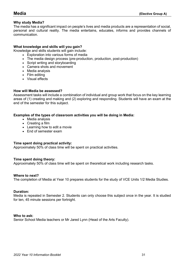#### **Why study Media?**

The media has a significant impact on people's lives and media products are a representation of social, personal and cultural reality. The media entertains, educates, informs and provides channels of communication.

#### **What knowledge and skills will you gain?**

Knowledge and skills students will gain include:

- Exploration into various forms of media
- The media design process (pre-production, production, post-production)
- Script writing and storyboarding
- Camera shots and movement
- Media analysis
- Film editing
- Visual effects

#### **How will Media be assessed?**

Assessment tasks will include a combination of individual and group work that focus on the key learning areas of (1) creating and making and (2) exploring and responding. Students will have an exam at the end of the semester for this subject.

#### **Examples of the types of classroom activities you will be doing in Media:**

- Media analysis
- Creating a film
- Learning how to edit a movie
- End of semester exam

#### **Time spent doing practical activity:**

Approximately 50% of class time will be spent on practical activities.

#### **Time spent doing theory:**

Approximately 50% of class time will be spent on theoretical work including research tasks.

#### **Where to next?**

The completion of Media at Year 10 prepares students for the study of VCE Units 1/2 Media Studies.

#### **Duration:**

Media is repeated in Semester 2. Students can only choose this subject once in the year. It is studied for ten, 45 minute sessions per fortnight.

#### **Who to ask:**

Senior School Media teachers or Mr Jared Lynn (Head of the Arts Faculty).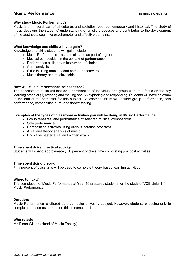## **Music Performance** (Elective Group A)

#### **Why study Music Performance?**

Music is an integral part of all cultures and societies, both contemporary and historical. The study of music develops the students' understanding of artistic processes and contributes to the development of the aesthetic, cognitive psychomotor and affective domains.

#### **What knowledge and skills will you gain?**

Knowledge and skills students will gain include:

- Music Performance as a soloist and as part of a group
- Musical composition in the context of performance
- Performance skills on an instrument of choice
- Aural analysis
- Skills in using music-based computer software
- Music theory and musicianship.

#### **How will Music Performance be assessed?**

The assessment tasks will include a combination of individual and group work that focus on the key learning areas of (1) creating and making and (2) exploring and responding. Students will have an exam at the end of the semester for this subject. Assessment tasks will include group performance, solo performance, composition aural and theory testing.

#### **Examples of the types of classroom activities you will be doing in Music Performance:**

- Group rehearsal and performance of selected musical compositions
- Solo performance
- Composition activities using various notation programs
- Aural and theory analysis of music
- End of semester aural and written exam

#### **Time spent doing practical activity:**

Students will spend approximately 50 percent of class time completing practical activities.

#### **Time spent doing theory:**

Fifty percent of class time will be used to complete theory based learning activities.

#### **Where to next?**

The completion of Music Performance at Year 10 prepares students for the study of VCE Units 1-4 Music Performance.

#### **Duration:**

Music Performance is offered as a semester or yearly subject. However, students choosing only to complete one semester must do this in semester 1.

#### **Who to ask:**

Ms Fiona Wilson (Head of Music Faculty).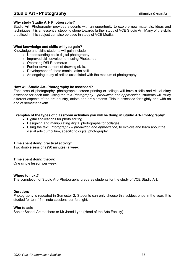## **Studio Art - Photography (Elective Group A)**

#### **Why study Studio Art- Photography?**

Studio Art- Photography provides students with an opportunity to explore new materials, ideas and techniques. It is an essential stepping stone towards further study of VCE Studio Art. Many of the skills practiced in this subject can also be used in study of VCE Media.

#### **What knowledge and skills will you gain?**

Knowledge and skills students will gain include:

- Understanding basic digital photography
- Improved skill development using Photoshop
- Operating DSLR cameras
- Further development of drawing skills.
- Development of photo manipulation skills
- An ongoing study of artists associated with the medium of photography.

#### **How will Studio Art- Photography be assessed?**

Each area of photography, photographic screen printing or collage will have a folio and visual diary assessed for each unit. Using the text *Photography – production and appreciation*, students will study different aspects of the art industry, artists and art elements. This is assessed fortnightly and with an end of semester exam.

#### **Examples of the types of classroom activities you will be doing in Studio Art- Photography:**

- Digital applications for photo editing.
- Designing and manipulating digital photographs for collages
- Using the text, *Photography – production and appreciation*, to explore and learn about the visual arts curriculum, specific to digital photography.

#### **Time spent doing practical activity:**

Two double sessions (90 minutes) a week.

#### **Time spent doing theory:**

One single lesson per week.

#### **Where to next?**

The completion of Studio Art- Photography prepares students for the study of VCE Studio Art.

#### **Duration:**

Photography is repeated in Semester 2. Students can only choose this subject once in the year. It is studied for ten, 45 minute sessions per fortnight.

#### **Who to ask:**

Senior School Art teachers or Mr Jared Lynn (Head of the Arts Faculty).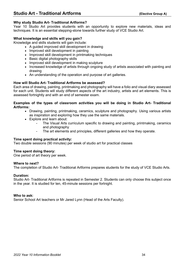#### **Why study Studio Art- Traditional Artforms?**

Year 10 Studio Art provides students with an opportunity to explore new materials, ideas and techniques. It is an essential stepping-stone towards further study of VCE Studio Art.

#### **What knowledge and skills will you gain?**

Knowledge and skills students will gain include:

- A guided improved skill development in drawing
- Improved skill development in painting
- Improved skill development in printmaking techniques
- Basic digital photography skills
- Improved skill development in making sculpture
- Increased knowledge of artists through ongoing study of artists associated with painting and drawing
- An understanding of the operation and purpose of art galleries.

#### **How will Studio Art- Traditional Artforms be assessed?**

Each area of drawing, painting, printmaking and photography will have a folio and visual diary assessed for each unit. Students will study different aspects of the art industry, artists and art elements. This is assessed fortnightly and with an end of semester exam.

#### **Examples of the types of classroom activities you will be doing in Studio Art- Traditional Artforms:**

- Drawing, painting, printmaking, ceramics, sculpture and photography. Using various artists as inspiration and exploring how they use the same materials.
- Explore and learn about:
	- The Visual Arts curriculum specific to drawing and painting, printmaking, ceramics and photography
	- The art elements and principles, different galleries and how they operate.

#### **Time spent doing practical activity:**

Two double sessions (90 minutes) per week of studio art for practical classes

#### **Time spent doing theory:**

One period of art theory per week.

#### **Where to next?**

The completion of Studio Art- Traditional Artforms prepares students for the study of VCE Studio Arts.

#### **Duration:**

Studio Art- Traditional Artforms is repeated in Semester 2. Students can only choose this subject once in the year. It is studied for ten, 45-minute sessions per fortnight.

#### **Who to ask:**

Senior School Art teachers or Mr Jared Lynn (Head of the Arts Faculty).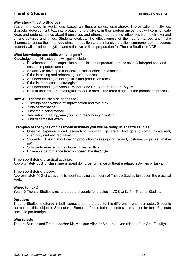#### **Why study Theatre Studies?**

Students engage in workshops based on theatre styles, dramaturgy, improvisational activities, character development, text interpretation and analysis. In their performances, they will communicate ideas and understandings about themselves and others, incorporating influences from their own and other's cultures and times. Students evaluate the effectiveness of their performances and make changes to realise their intended aims. In addition to the intensive practical component of the course, students will develop analytical and reflective skills in preparation for Theatre Studies in VCE.

#### **What knowledge and skills will you gain?**

Knowledge and skills students will gain include:

- Development of the sophisticated application of production roles as they interpret solo and ensemble performances
- An ability to develop a successful actor-audience relationship
- Skills in editing and rehearsing performances
- An understanding of acting skills and production roles
- Skills in improvisation strategies
- An understanding of various Modern and Pre-Modern Theatre Styles
- How to undertake dramaturgical research across the three stages of the production process.

#### **How will Theatre Studies be assessed?**

- Through observations of improvisation and role-play
- Solo performance
- Ensemble performance
- Recording, creating, analyzing and responding in writing
- End of semester exam.

#### **Examples of the types of classroom activities you will be doing in Theatre Studies:**

- Observe, experience and research to represent, generate, develop and communicate real, imaginary and abstract ideas
- Students will learn about design production roles (lighting, sound, costume, props, set, makeup)
- Solo performance from a chosen Theatre Style
- Ensemble performance from a chosen Theatre Style

#### **Time spent doing practical activity:**

Approximately 60% of class time is spent doing performance or theatre related activities or tasks.

#### **Time spent doing theory:**

Approximately 40% of class time is spent studying the theory of Theatre Studies to support the practical work.

#### **Where to next?**

Year 10 Theatre Studies aims to prepare students for studies in VCE Units 1-4 Theatre Studies.

#### **Duration:**

Theatre Studies is offered in both semesters and the content is different in each semester. Students can choose this subject in Semester 1, Semester 2 or in both semesters. It is studied for ten, 45 minute sessions per fortnight.

#### **Who to ask:**

Theatre Studies and Drama teacher Ms Monique Allen or Mr Jared Lynn (Head of the Arts Faculty).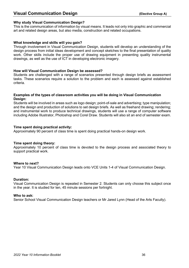## **Visual Communication Design (Elective Group A)**

#### **Why study Visual Communication Design?**

This is the communication of information by visual means. It leads not only into graphic and commercial art and related design areas, but also media, construction and related occupations.

#### **What knowledge and skills will you gain?**

Through involvement in Visual Communication Design, students will develop an understanding of the design process from initial ideas development and concept sketches to the final presentation of quality work. Other skills include the proper use of drawing equipment in presenting quality instrumental drawings, as well as the use of ICT in developing electronic imagery.

#### **How will Visual Communication Design be assessed?**

Students are challenged with a range of scenarios presented through design briefs as assessment tasks. These scenarios require a solution to the problem and each is assessed against established criteria.

#### **Examples of the types of classroom activities you will be doing in Visual Communication Design:**

Students will be involved in areas such as logo design; point-of-sale and advertising; type manipulation; and the design and production of solutions to set design briefs. As well as freehand drawing; rendering; and instrumental work to produce technical drawings, students will use a range of computer software including Adobe Illustrator, Photoshop and Corel Draw. Students will also sit an end of semester exam.

#### **Time spent doing practical activity:**

Approximately 90 percent of class time is spent doing practical hands-on design work.

#### **Time spent doing theory:**

Approximately 10 percent of class time is devoted to the design process and associated theory to support practical work.

#### **Where to next?**

Year 10 Visual Communication Design leads onto VCE Units 1-4 of Visual Communication Design.

#### **Duration:**

Visual Communication Design is repeated in Semester 2. Students can only choose this subject once in the year. It is studied for ten, 45 minute sessions per fortnight.

#### **Who to ask:**

Senior School Visual Communication Design teachers or Mr Jared Lynn (Head of the Arts Faculty).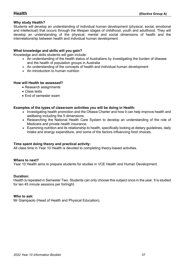#### **Why study Health?**

Students will develop an understanding of individual human development (physical, social, emotional and intellectual) that occurs through the lifespan stages of childhood, youth and adulthood. They will develop an understanding of the physical, mental and social dimensions of health and the interrelationship between health and individual human development.

#### **What knowledge and skills will you gain?**

Knowledge and skills students will gain include:

- An understanding of the health status of Australians by investigating the burden of disease and the health of population groups in Australia
- An understanding of the concepts of health and individual human development
- An introduction to human nutrition

#### **How will Health be assessed?**

- Research assignments
- Class tests
- End of semester exam

#### **Examples of the types of classroom activities you will be doing in Health:**

- Investigating health promotion and the Ottawa Charter and how it can help improve health and wellbeing including the 5 dimensions.
- Researching the National Health Care System to develop an understanding of the role of Medicare and private health insurance.
- Examining nutrition and its relationship to health, specifically looking at dietary guidelines, daily intake and energy expenditure, and some of the factors influencing food choices.

#### **Time spent doing theory and practical activity:**

All class time in Year 10 Health is devoted to completing theory-based activities.

#### **Where to next?**

Year 10 Health aims to prepare students for studies in VCE Health and Human Development.

#### **Duration:**

Health is repeated in Semester Two. Students can only choose this subject once in the year. It is studied for ten 45 minute sessions per fortnight.

#### **Who to ask:**

Mr Giampaolo (Head of Health and Physical Education).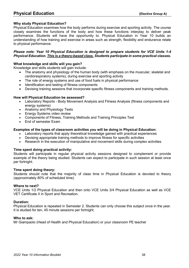## **Physical Education** (Elective Group A)

#### **Why study Physical Education?**

Physical Education examines how the body performs during exercise and sporting activity. The course closely examines the functions of the body and how these functions interplay to deliver peak performance. Students will have the opportunity to. Physical Education in Year 10 builds an understanding of how training and exercise in areas such as strength, flexibility and endurance relate to physical performance.

#### *Please note: Year 10 Physical Education is designed to prepare students for VCE Units 1-4 Physical Education. This is a theory-based class. Students participate in some practical classes.*

#### **What knowledge and skills will you gain?**

Knowledge and skills students will gain include:

- The anatomy and physiology of the human body (with emphasis on the muscular, skeletal and cardiorespiratory systems), during exercise and sporting activity
- The role of energy systems and use of food fuels in physical performance
- Identification and testing of fitness components
- Devising training sessions that incorporate specific fitness components and training methods.

#### **How will Physical Education be assessed?**

- Laboratory Reports Body Movement Analysis and Fitness Analysis (fitness components and energy systems)
- Anatomy and Physiology Tests
- Energy Systems video review
- Components of Fitness, Training Methods and Training Principles Test
- End of semester Exam

#### **Examples of the types of classroom activities you will be doing in Physical Education:**

- Laboratory reports that apply theoretical knowledge gained with practical experiences
- Devising appropriate training methods to improve fitness for specific activities
- Research in the execution of manipulative and movement skills during complex activities

#### **Time spent doing practical activity:**

Students will participate in regular physical activity sessions designed to complement or provide example of the theory being studied. Students can expect to participate in such session at least once per fortnight.

#### **Time spent doing theory:**

Students should note that the majority of class time in Physical Education is devoted to theory (approximately 80% of scheduled time).

#### **Where to next?**

VCE Units 1/2 Physical Education and then onto VCE Units 3/4 Physical Education as well as VCE VET Certificate II in Sport and Recreation.

#### **Duration:**

Physical Education is repeated in Semester 2. Students can only choose this subject once in the year. It is studied for ten, 45 minute sessions per fortnight.

#### **Who to ask:**

Mr Giampaolo (Head of Health and Physical Education) or your classroom PE teacher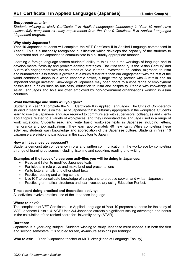#### *Entry requirements:*

*Students wishing to study Certificate II in Applied Languages (Japanese) in Year 10 must have successfully completed all study requirements from the Year 9 Certificate II in Applied Languages (Japanese) program.*

#### **Why study Japanese?**

Year 10 Japanese students will complete the VET Certificate II in Applied Language commenced in Year 9. This is a nationally recognised qualification which develops the capacity of the students to understand and use Japanese to communicate in a culturally appropriate manner.

Learning a foreign language fosters students' ability to think about the workings of language and to develop mental flexibility and problem-solving strategies. The 21st century is the 'Asian Century' and Australia's engagement with the countries of Asia in trade, investment, education, migration, tourism and humanitarian assistance is growing at a much faster rate than our engagement with the rest of the world combined. Japan is a world economic power, a large trading partner with Australia and an important foreign investor. Knowledge of Japanese may open doors to a wide range of employment possibilities in fields such as business, education tourism and hospitality. People with knowledge of Asian Languages and Asia are often employed by non-government organisations working in Asian countries.

#### **What knowledge and skills will you gain?**

Students in Year 10 complete the VET Certificate II in Applied Languages. The Units of Competency studied in Year 10 focus on the use of Japanese that is culturally appropriate in the workplace. Students learn to use the Japanese language required to communicate with supervisors, colleagues and clients about topics related to a variety of workplaces, and they understand the language used in a range of work situations. Students read and write basic workplace texts in Japanese including letters, memoranda and job applications. They learn approximately 40 new Kanji. While completing these activities, students gain knowledge and appreciation of the Japanese culture. Students in Year 10 Japanese are eligible to participate in the study tour to Japan.

#### **How will Japanese be assessed?**

Students demonstrate competency in oral and written communication in the workplace by completing a range of learning outcomes including listening and speaking, reading and writing.

#### **Examples of the types of classroom activities you will be doing in Japanese:**

- Read and listen to modified Japanese texts
- Participate in role plays and make brief oral presentations
- Write letters, emails and other short texts
- Practice reading and writing scripts
- Use ICT to consolidate knowledge of scripts and to produce spoken and written Japanese.
- Practice grammatical structures and learn vocabulary using Education Perfect.

#### **Time spent doing practical and theoretical activity:**

All activities involve practical use of the Japanese language.

#### **Where to next?**

The completion of VET Certificate II in Applied Language at Year 10 prepares students for the study of VCE Japanese Units 1-4. VCE Units 3/4 Japanese attracts a significant scaling advantage and bonus in the calculation of the ranked score for University entry (ATAR).

#### **Duration:**

Japanese is a year-long subject. Students wishing to study Japanese must choose it in both the first and second semesters. It is studied for ten, 45-minute sessions per fortnight.

**Who to ask:** Year 9 Japanese teacher or Mr Tucker (Head of Language Faculty)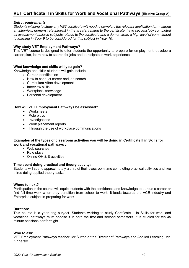## **VET Certificate II in Skills for Work and Vocational Pathways (Elective Group A)**

#### *Entry requirements:*

*Students wishing to study any VET certificate will need to complete the relevant application form, attend an interview, demonstrate interest in the area(s) related to the certificate, have successfully completed all assessment tasks in subjects related to the certificate and a demonstrate a high level of commitment to learning in Year 9 to be considered for this subject in Year 10.*

#### **Why study VET Employment Pathways?**

This VET course is designed to offer students the opportunity to prepare for employment, develop a career plan, learn how to search for jobs and participate in work experience.

#### **What knowledge and skills will you gain?**

Knowledge and skills students will gain include:

- Career identification
- How to conduct career and job search
- Curriculum Vitae development
- Interview skills
- Workplace knowledge
- Personal development

#### **How will VET Employment Pathways be assessed?**

- Worksheets
- Role plays
- Investigations
- Work placement reports
- Through the use of workplace communications

#### **Examples of the types of classroom activities you will be doing in Certificate II in Skills for work and vocational pathways :**

- Web searches
- Role plays
- Online OH & S activities

#### **Time spent doing practical and theory activity:**

Students will spend approximately a third of their classroom time completing practical activities and two thirds doing applied theory tasks.

#### **Where to next?**

Participation in the course will equip students with the confidence and knowledge to pursue a career or find full-time work when they transition from school to work. It leads towards the VCE Industry and Enterprise subject in preparing for work.

#### **Duration:**

This course is a year-long subject. Students wishing to study Certificate II in Skills for work and vocational pathways must choose it in both the first and second semesters. It is studied for ten 45 minute sessions per fortnight.

#### **Who to ask:**

VET Employment Pathways teacher, Mr Sutton or the Director of Pathways and Applied Learning, Mr Kinnersly.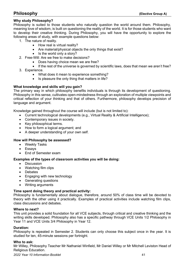#### **Why study Philosophy?**

Philosophy is suited to those students who naturally question the world around them. Philosophy, meaning love of wisdom, is built on questioning the reality of the world. It is for those students who want to develop their creative thinking. During Philosophy, you will have the opportunity to explore the following areas of study, with example questions below:

- 1. The nature of reality.
	- How real is virtual reality?
	- Are material/physical objects the only things that exist?
	- Is the world only a story?
- 2. Free-Will: Are we free to make decisions?
	- Does having choice mean we are free?
	- If the rest of the universe is governed by scientific laws, does that mean we aren't free?
- 3. Experience.
	- What does it mean to experience something?
	- Is pleasure the only thing that matters in life?

#### **What knowledge and skills will you gain?**

The primary way in which philosophy benefits individuals is through its development of questioning. Philosophy in this sense, cultivates open-mindedness through an exploration of multiple viewpoints and critical reflection of your thinking and that of others. Furthermore, philosophy develops precision of language and argument.

Knowledge gained throughout the course will include (but is not limited to):

- Current technological developments (e.g., Virtual Reality & Artificial Intelligence);
- Contemporary issues in society.
- Key philosophical terms.
- How to form a logical argument: and
- A deeper understanding of your own self.

#### **How will Philosophy be assessed?**

- Weekly Tasks
- Essays
- End of Semester exam

#### **Examples of the types of classroom activities you will be doing:**

- Discussion
- Watching film clips
- Debates
- Engaging with new technology
- Generating questions
- Writing arguments

#### **Time spent doing theory and practical activity:**

Philosophy is fundamentally about dialogue, therefore, around 50% of class time will be devoted to theory with the other using it practically. Examples of practical activities include watching film clips, class discussions and debates.

#### **Where to next?**

This unit provides a solid foundation for all VCE subjects, through critical and creative thinking and the writing skills developed. Philosophy also has a specific pathway through VCE Units 1/2 Philosophy in Year 11 and VCE Units 3/4 Philosophy in Year 12.

#### **Duration:**

Philosophy is repeated in Semester 2. Students can only choose this subject once in the year. It is studied for ten, 45-minute sessions per fortnight.

#### **Who to ask:**

Mr Willey, Philosophy Teacher Mr Nathaniel Winfield, Mr Daniel Willey or Mr Mitchell Leviston Head of Religious Education.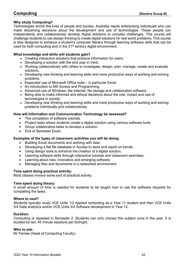#### **Why study Computing?**

Technologies enrich the lives of people and society. Australia needs enterprising individuals who can make discerning decisions about the development and use of technologies. These people can independently and collaboratively develop digital solutions to complex challenges. This course will challenge students to use design thinking to create digital solutions for real world problems. This course is also designed to enhance a student's computer literacy through learning software skills that can be used for both computing and in the 21<sup>st</sup> century digital environment.

#### **What knowledge and skills will students gain?**

- Creating interactive solutions that produce information for users.
- Developing a solution with the end user in mind.
- Working collaboratively with others to investigate, design, plan, manage, create and evaluate solutions.
- Developing new thinking and learning skills and more productive ways of working and solving problems.
- Expanded use of Microsoft Office suite in particular Excel.
- An introduction to MS Access and Programming.
- Advanced use of Windows, the Internet, file storage and collaboration software.
- Being able to make informed and ethical decisions about the role, impact and use of technologies in society.
- Developing new thinking and learning skills and more productive ways of working and solving problems individually and collaboratively.

#### **How will Information and Communication Technology be assessed?**

- The completion of software tutorials.
- Project tasks where students create a digital solution using various software tools.
- Group collaborative tasks to develop a solution.
- End of Semester Exam.

#### **Examples of the types of classroom activities you will be doing:**

- Building Excel documents and working with data.
- Developing a flat file database in Access to store and report on trends.
- Using design tools to enhance the creation of a digital solution.
- Learning software skills through interactive tutorials and classroom exercises.
- Learning about new, innovative and emerging software.
- Managing files and documents in a networked environment.

#### **Time spent doing practical activity:**

Most classes involve some sort of practical activity.

#### **Time spent doing theory:**

A small amount of time is needed for students to be taught how to use the software required for completing the tasks.

#### **Where to next?**

Students typically study VCE Units 1/2 Applied computing as a Year 11 student and then VCE Units 3/4 Data analytics and/or VCE Units 3/4 Software development in Year 12.

#### **Duration:**

Computing is repeated in Semester 2. Students can only choose this subject once in the year. It is studied for ten, 45 minute sessions per fortnight.

#### **Who to ask:**

Mr Fernée (Head of Computing Faculty).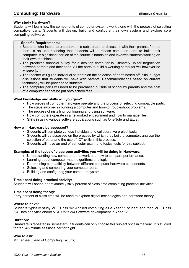#### **Why study Hardware?**

Students will learn how the components of computer systems work along with the process of selecting compatible parts. Students will design, build and configure their own system and explore core computing software.

#### **Specific Requirements:**

- Students who intend to undertake this subject are to discuss it with their parents first as there is an understanding that students will purchase computer parts to build their computer. A significant portion of the course is hands on and involves students working on their own machines.
- The predicted financial outlay for a desktop computer is ultimately up for negotiation between parents and their sons. All the parts to build a working computer will however be at least \$700.
- The teacher will guide individual students on the selection of parts based off initial budget discussions that students will have with parents. Recommendations based on current technology will be provided to students.
- The computer parts will need to be purchased outside of school by parents and the cost of a computer cannot be put onto school fees.

#### **What knowledge and skills will you gain?**

- How pieces of computer hardware operate and the process of selecting compatible parts.
- The steps involved in building a computer and how-to troubleshoot problems.
- The process of installing, configuring and using software.
- How computers operate in a networked environment and how to manage files.
- Skills in using various software applications such as OneNote and Excel.

#### **How will Hardware be assessed?**

- Students will complete various individual and collaborative project tasks.
- Students will be assessed on the process by which they build a computer, analyse the selection of parts and the use of ICT skills in this process.
- Students will have an end of semester exam and topics tests for this subject.

#### **Examples of the types of classroom activities you will be doing in Hardware:**

- Understanding how computer parts work and how to compare performance.
- Learning about computer math, algorithms and logic.
- Determining compatibility between different computer hardware components.
- Selecting and comparing your computer parts.
- Building and configuring your computer system.

#### **Time spent doing practical activity:**

Students will spend approximately sixty percent of class time completing practical activities.

#### **Time spent doing theory:**

Forty percent of class time will be used to explore digital technologies and hardware theory.

#### **Where to next?**

Students typically study VCE Units 1/2 Applied computing as a Year 11 student and then VCE Units 3/4 Data analytics and/or VCE Units 3/4 Software development in Year 12.

#### **Duration:**

Hardware is repeated in Semester 2. Students can only choose this subject once in the year. It is studied for ten, 45-minute sessions per fortnight.

#### **Who to ask:**

Mr Fernée (Head of Computing Faculty)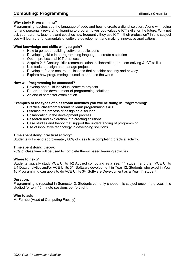## **Computing: Programming Computing: Programming**

#### **Why study Programming?**

Programming teaches you the language of code and how to create a digital solution. Along with being fun and personally rewarding, learning to program gives you valuable ICT skills for the future. Why not ask your parents, teachers and coaches how frequently they use ICT in their profession? In this subject you will learn the fundamentals of software development and making innovative applications.

#### **What knowledge and skills will you gain?**

- How to go about building software applications
- Developing skills in a programming language to create a solution
- Obtain professional ICT practices
- Acquire 21<sup>st</sup> Century skills (communication, collaboration, problem-solving & ICT skills)
- Use tools to design and manage projects
- Develop safe and secure applications that consider security and privacy
- Explore how programming is used to enhance the world

#### **How will Programming be assessed?**

- Develop and build individual software projects
- Report on the development of programming solutions
- An end of semester examination

#### **Examples of the types of classroom activities you will be doing in Programming:**

- Practical classroom tutorials to learn programming skills
- Learning the process of designing a solution
- Collaborating in the development process
- Research and exploration into creating solutions
- Case studies and theory that support the understanding of programming
- Use of innovative technology in developing solutions

#### **Time spent doing practical activity:**

Students will spend approximately 80% of class time completing practical activity.

#### **Time spent doing theory:**

20% of class time will be used to complete theory based learning activities.

#### **Where to next?**

Students typically study VCE Units 1/2 Applied computing as a Year 11 student and then VCE Units 3/4 Data analytics and/or VCE Units 3/4 Software development in Year 12. Students who excel in Year 10 Programming can apply to do VCE Units 3/4 Software Development as a Year 11 student.

#### **Duration:**

Programming is repeated in Semester 2. Students can only choose this subject once in the year. It is studied for ten, 45-minute sessions per fortnight.

#### **Who to ask:**

Mr Fernée (Head of Computing Faculty)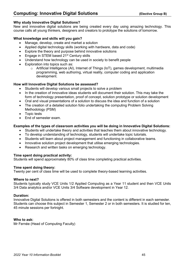#### **Why study Innovative Digital Solutions?**

New and innovative digital solutions are being created every day using amazing technology. This course calls all young thinkers, designers and creators to prototype the solutions of tomorrow.

#### **What knowledge and skills will you gain?**

- Manage, develop, create and market a solution
- Applied digital technology skills (working with hardware, data and code)
- Explore the theory and purpose behind innovative solutions
- Engage in STEM based 21<sup>st</sup> Century skills
- Understand how technology can be used in society to benefit people
- Exploration into topics such as:
	- o Artificial Intelligence (AI), Internet of Things (IoT), games development, multimedia programming, web authoring, virtual reality, computer coding and application development.

#### **How will Innovative Digital Solutions be assessed?**

- Students will develop various small projects to solve a problem
- In the creation of innovative ideas students will document their solution. This may take the form of technology presentation, proof of concept, solution prototype or solution development
- Oral and visual presentations of a solution to discuss the idea and function of a solution
- The creation of a detailed solution folio undertaking the computing Problem Solving Methodology (PSM)
- Topic tests
- End of semester exam.

#### **Examples of the types of classroom activities you will be doing in Innovative Digital Solutions:**

- Students will undertake theory and activities that teaches them about innovative technology.
- To develop understanding of technology, students will undertake topic tutorials.
- Students will learn about project management and functioning in collaborative teams.
- Innovative solution project development that utilise emerging technologies.
- Research and written tasks on emerging technology.

#### **Time spent doing practical activity:**

Students will spend approximately 80% of class time completing practical activities.

#### **Time spent doing theory:**

Twenty per cent of class time will be used to complete theory-based learning activities.

#### **Where to next?**

Students typically study VCE Units 1/2 Applied Computing as a Year 11 student and then VCE Units 3/4 Data analytics and/or VCE Units 3/4 Software development in Year 12.

#### **Duration:**

Innovative Digital Solutions is offered in both semesters and the content is different in each semester. Students can choose this subject in Semester 1, Semester 2 or in both semesters. It is studied for ten, 45 minute sessions per fortnight.

#### **Who to ask:**

Mr Fernée (Head of Computing Faculty)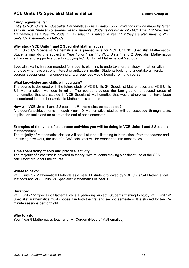## **VCE Units 1/2 Specialist Mathematics (Elective Group B)**

#### *Entry requirements:*

*Entry to VCE Units 1/2 Specialist Mathematics is by invitation only. Invitations will be made by letter early in Term Three to considered Year 9 students. Students not invited into VCE Units 1/2 Specialist Mathematics as a Year 10 student, may select this subject in Year 11 if they are also studying VCE Units 1/2 Mathematical Methods.*

#### **Why study VCE Units 1 and 2 Specialist Mathematics?**

VCE Unit 1/2 Specialist Mathematics is a pre-requisite for VCE Unit 3/4 Specialist Mathematics. Students may do this subject in Year 10 or Year 11. VCE Units 1 and 2 Specialist Mathematics enhances and supports students studying VCE Units 1-4 Mathematical Methods.

Specialist Maths is recommended for students planning to undertake further study in mathematics – or those who have a strong interest or aptitude in maths. Students looking to undertake university courses specialising in engineering and/or sciences would benefit from this course.

#### **What knowledge and skills will you gain?**

The course is designed with the future study of VCE Units 3/4 Specialist Mathematics and VCE Units 3/4 Mathematical Methods in mind. The course provides the background to several areas of mathematics that are studied in VCE Specialist Mathematics that would otherwise not have been encountered in the other available Mathematics courses.

#### **How will VCE Units 1 and 2 Specialist Mathematics be assessed?**

A student's achievements in each Year 10 Mathematics studies will be assessed through tests, application tasks and an exam at the end of each semester.

#### **Examples of the types of classroom activities you will be doing in VCE Units 1 and 2 Specialist Mathematics:**

The majority of Mathematics classes will entail students listening to instructions from the teacher and practicing new work, the use of a CAS calculator will be embedded into most topics.

#### **Time spent doing theory and practical activity:**

The majority of class time is devoted to theory, with students making significant use of the CAS calculator throughout the course.

#### **Where to next?**

VCE Units 1/2 Mathematical Methods as a Year 11 student followed by VCE Units 3/4 Mathematical Methods and VCE Units 3/4 Specialist Mathematics in Year 12.

#### **Duration:**

VCE Units 1/2 Specialist Mathematics is a year-long subject. Students wishing to study VCE Unit 1/2 Specialist Mathematics must choose it in both the first and second semesters. It is studied for ten 45 minute sessions per fortnight.

#### **Who to ask:**

Your Year 9 Mathematics teacher or Mr Corden (Head of Mathematics).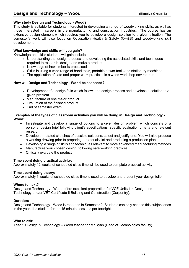#### **Why study Design and Technology - Wood?**

This study is suitable for students interested in developing a range of woodworking skills, as well as those interested in careers in the manufacturing and construction industries. The course has an extensive design element which requires you to develop a design solution to a given situation. The semester's work will also focus on Occupation Health & Safety (OH&S) and woodworking skill development.

#### **What knowledge and skills will you gain?**

Knowledge and skills students will gain include:

- Understanding the 'design process' and developing the associated skills and techniques required to research, design and make a product
- Knowledge of how timber is processed
- Skills in using a wide range of hand tools, portable power tools and stationary machines
- The application of safe and proper work practices in a wood workshop environment

#### **How will Design and Technology - Wood be assessed?**

- Development of a design folio which follows the design process and develops a solution to a given problem
- Manufacture of one major product
- Evaluation of the finished product
- End of semester exam

#### **Examples of the types of classroom activities you will be doing in Design and Technology - Wood:**

- Investigate and develop a range of options to a given design problem which consists of a personal design brief following client's specifications, specific evaluation criteria and relevant research.
- Develop annotated sketches of possible solutions, select and justify one. You will also produce a working drawing prior to preparing a materials list and producing a production plan.
- Developing a range of skills and techniques relevant to more advanced manufacturing methods
- Manufacture your chosen design, following safe working practices
- Critically evaluate the product

#### **Time spent doing practical activity:**

Approximately 12 weeks of scheduled class time will be used to complete practical activity.

#### **Time spent doing theory:**

Approximately 6 weeks of scheduled class time is used to develop and present your design folio.

#### **Where to next?**

Design and Technology - Wood offers excellent preparation for VCE Units 1-4 Design and Technology and/or VET Certificate II Building and Construction (Carpentry).

#### **Duration:**

Design and Technology - Wood is repeated in Semester 2. Students can only choose this subject once in the year. It is studied for ten 45 minute sessions per fortnight.

#### **Who to ask:**

Year 10 Design & Technology – Wood teacher or Mr Ryan (Head of Technologies faculty)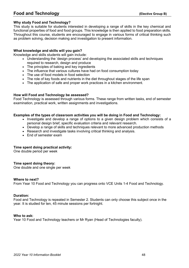## **Food and Technology (Elective Group B)**

#### **Why study Food and Technology?**

This study is suitable for students interested in developing a range of skills in the key chemical and functional properties of food and food groups. This knowledge is then applied to food preparation skills. Throughout this course, students are encouraged to engage in various forms of critical thinking such as problem solving, decision making and investigation to present information.

#### **What knowledge and skills will you gain?**

Knowledge and skills students will gain include:

- Understanding the 'design process' and developing the associated skills and techniques required to research, design and produce
- The principles of baking and key ingredients
- The influence that various cultures have had on food consumption today
- The use of food models in food selection
- The role of key foods and nutrients in the diet throughout stages of the life span
- The application of safe and proper work practices in a kitchen environment.

#### **How will Food and Technology be assessed?**

Food Technology is assessed through various forms. These range from written tasks, end of semester examination, practical work, written assignments and investigations.

#### **Examples of the types of classroom activities you will be doing in Food and Technology:**

- Investigate and develop a range of options to a given design problem which consists of a personal design brief, specific evaluation criteria and relevant research.
- Develop a range of skills and techniques relevant to more advanced production methods
- Research and investigate tasks involving critical thinking and analysis.
- Fnd of semester exam

#### **Time spent doing practical activity:**

One double period per week

#### **Time spent doing theory:**

One double and one single per week

#### **Where to next?**

From Year 10 Food and Technology you can progress onto VCE Units 1-4 Food and Technology.

#### **Duration:**

Food and Technology is repeated in Semester 2. Students can only choose this subject once in the year. It is studied for ten, 45 minute sessions per fortnight.

#### **Who to ask:**

Year 10 Food and Technology teachers or Mr Ryan (Head of Technologies faculty).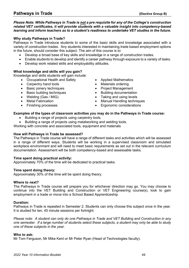#### *Please Note: While Pathways in Trade is not a pre requisite for any of the College's construction related VET certificates, it will provide students with a valuable insight into competency-based learning and inform teachers as to a student's readiness to undertake VET studies in the future.*

#### **Why study Pathways in Trade?**

Pathways in Trade introduce students to some of the basic skills and knowledge associated with a variety of construction trades. Any students interested in maintaining trade based employment options in the future, should consider this subject. The aim of this course is to:

- Develop a broad base of key skills and knowledge in a range of construction trades.
- Enable students to develop and identify a career pathway through exposure to a variety of tasks.
- Develop work related skills and employability attitudes.

#### **What knowledge and skills will you gain?**

Knowledge and skills students will gain include:

- Occupational Health and Safety
- Carpentry hand tools
- Basic joinery techniques
- Basic building techniques
- Welding (Gas / MIG)
- Metal Fabrication
- Finishing processes
- Applied Mathematics
- Materials ordering
- Project Management
- Building documentation
- Taking and using levels
- Manual Handling techniques
- Ergonomic considerations

#### **Examples of the types of classroom activities you may do in the Pathways in Trade course:**

- Building a range of projects using carpentry tools.
- Building a range of projects using metalworking and welding tools.

Working with concrete and associated tools, equipment and materials

#### **How will Pathways in Trade be assessed?**

The Pathways in Trade course will have a range of different tasks and activities which will be assessed in a range of different ways. Students will be working in a supervised classroom and simulated workplace environment and will need to meet basic requirements as set out in the relevant curriculum documentation. Assessment will be both competency-based and assessable tasks.

#### **Time spent doing practical activity:**

Approximately 70% of the time will be dedicated to practical tasks.

#### **Time spent doing theory:**

Approximately 30% of the time will be spent doing theory.

#### **Where to next?**

The Pathways in Trade course will prepare you for whichever direction may go. You may choose to continue into the VET Building and Construction or VET Engineering course(s), look to gain employment in a trade or move into a School Based Apprenticeship.

#### **Duration:**

Pathways in Trade is repeated in Semester 2. Students can only choose this subject once in the year. It is studied for ten, 45 minute sessions per fortnight.

*Please note: A student can only do one Pathways in Trade and VET Building and Construction in any one semester. If a large number of students select these subjects, a student may only be able to study one of these subjects in the year.*

#### **Who to ask:**

Mr Tom Ferguson, Mr Mike Kent or Mr Peter Ryan (Head of Technologies faculty).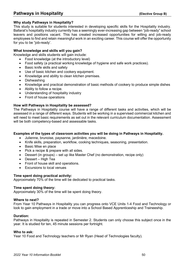## **Pathways in Hospitality Construction (Elective Group B)**

#### **Why study Pathways in Hospitality?**

This study is suitable for students interested in developing specific skills for the Hospitality industry. Ballarat's hospitality industry currently has a seemingly ever-increasing gap between "job-ready" school leavers and positions vacant. This has created increased opportunities for willing and job-ready employees to find and retain meaningful work in an exciting career. This course will offer the opportunity for you to be "job-ready'.

#### **What knowledge and skills will you gain?**

Knowledge and skills students will gain include:

- Food knowledge (at the introductory level)
- Food safety (a practical working knowledge of hygiene and safe work practices).
- Basic knife skills and safety
- Use of basic kitchen and cookery equipment.
- Knowledge and ability to clean kitchen premises.
- Dishwashing
- Knowledge and practical demonstration of basic methods of cookery to produce simple dishes
- Ability to follow a recipe.
- Understanding of hospitality industry
- Front of house operations

#### **How will Pathways in Hospitality be assessed?**

The Pathways in Hospitality course will have a range of different tasks and activities, which will be assessed in a range of different ways. Students will be working in a supervised commercial kitchen and will need to meet basic requirements as set out in the relevant curriculum documentation. Assessment will be both competency-based and assessable tasks.

#### **Examples of the types of classroom activities you will be doing in Pathways in Hospitality.**

- Julienne, brunoise, paysanne, jardinière, macedoine.
- Knife skills, preparation, workflow, cooking techniques, seasoning, presentation.
- Basic Mise en place
- Pick a recipe & prepare with all sides.
- Dessert (in groups) set up like Master Chef (no demonstration, recipe only)
- Dessert High Tea
- Front of house skill and operations.
- Excursions to local venues

#### **Time spent doing practical activity:**

Approximately 70% of the time will be dedicated to practical tasks.

#### **Time spent doing theory:**

Approximately 30% of the time will be spent doing theory.

#### **Where to next?**

From Year 10 Pathways in Hospitality you can progress onto VCE Units 1-4 Food and Technology or look to gain employment in a trade or move into a School Based Apprenticeship and Traineeship.

#### **Duration:**

Pathways in Hospitality is repeated in Semester 2. Students can only choose this subject once in the year. It is studied for ten, 45 minute sessions per fortnight.

#### **Who to ask:**

Year 10 Food and Technology teachers or Mr Ryan (Head of Technologies faculty).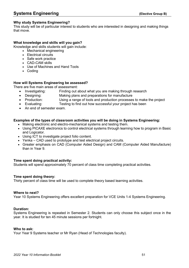#### **Why study Systems Engineering?**

This study will be of particular interest to students who are interested in designing and making things that move.

#### **What knowledge and skills will you gain?**

Knowledge and skills students will gain include:

- Mechanical engineering
- Electrical circuits
- Safe work practice
- CAD-CAM skills
- Use of Machines and Hand Tools
- Coding

#### **How will Systems Engineering be assessed?**

There are five main areas of assessment:

- Investigating: Finding out about what you are making through research
- Designing: Making plans and preparations for manufacture
- Production: Using a range of tools and production processes to make the project
- Evaluating: Testing to find out how successful your project has been
- An end of semester exam.

#### **Examples of the types of classroom activities you will be doing in Systems Engineering:**

- Making electronic and electro-mechanical systems and testing them.
- Using PICAXE electronics to control electrical systems through learning how to program in Basic and Logicator.
- Using ICT to investigate project folio content.
- Yenka CAD used to prototype and test electrical project circuits.
- Greater emphasis on CAD (Computer Aided Design) and CAM (Computer Aided Manufacture) than in Year 9.

#### **Time spent doing practical activity:**

Students will spend approximately 70 percent of class time completing practical activities.

#### **Time spent doing theory:**

Thirty percent of class time will be used to complete theory based learning activities.

#### **Where to next?**

Year 10 Systems Engineering offers excellent preparation for VCE Units 1-4 Systems Engineering.

#### **Duration:**

Systems Engineering is repeated in Semester 2. Students can only choose this subject once in the year. It is studied for ten 45 minute sessions per fortnight.

#### **Who to ask:**

Your Year 9 Systems teacher or Mr Ryan (Head of Technologies faculty).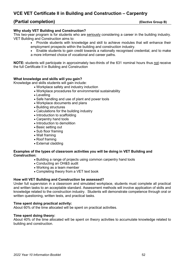## **VCE VET Certificate II in Building and Construction – Carpentry**

## **(Partial completion) (Elective Group B)**

#### **Why study VET Building and Construction?**

This two-year program is for students who are seriously considering a career in the building industry. VET Building and Construction aims to:

- Provide students with knowledge and skill to achieve modules that will enhance their employment prospects within the building and construction industry.
- Enable students to gain credit towards a nationally recognised credential, and to make a more informed choice of vocational and career paths.

**NOTE:** students will participate in approximately two-thirds of the 631 nominal hours thus not receive the full Certificate II in Building and Construction

#### **What knowledge and skills will you gain?**

Knowledge and skills students will gain include:

- Workplace safety and industry induction
- Workplace procedures for environmental sustainability
- Levelling
- Safe handling and use of plant and power tools
- Workplace documents and plans
- Building structures
- Calculations for the building industry
- Introduction to scaffolding
- Carpentry hand tools
- Introduction to demolition
- Basic setting out
- Sub floor framing
- Wall framing
- Roof framing
- External cladding

#### **Examples of the types of classroom activities you will be doing in VET Building and Construction:**

- Building a range of projects using common carpentry hand tools
- Conducting an OH&S audit
- Working as a team member
- Completing theory from a VET text book

#### **How will VET Building and Construction be assessed?**

Under full supervision in a classroom and simulated workplace, students must complete all practical and written tasks to an acceptable standard. Assessment methods will involve application of skills and knowledge related to the construction industry. Students will demonstrate competence through oral or written questioning, written tests, and practical tasks.

#### **Time spent doing practical activity:**

About 60% of the time allocated will be spent on practical activities.

#### **Time spent doing theory:**

About 40% of the time allocated will be spent on theory activities to accumulate knowledge related to building and construction.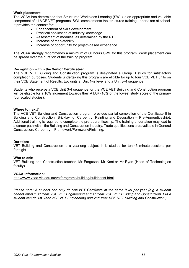#### **Work placement:**

The VCAA has determined that Structured Workplace Learning (SWL) is an appropriate and valuable component of all VCE VET programs. SWL complements the structured training undertaken at school. It provides the context for:

- Enhancement of skills development
- Practical application of industry knowledge
- Assessment of modules, as determined by the RTO
- Increase of marketability
- Increase of opportunity for project-based experience.

The VCAA strongly recommends a minimum of 80 hours SWL for this program. Work placement can be spread over the duration of the training program.

#### **Recognition within the Senior Certificates:**

The VCE VET Building and Construction program is designated a Group B study for satisfactory completion purposes. Students undertaking this program are eligible for up to four VCE VET units on their VCE Statement of Results: two units at Unit 1–2 level and a Unit 3–4 sequence

Students who receive a VCE Unit 3-4 sequence for the VCE VET Building and Construction program will be eligible for a 10% increment towards their ATAR (10% of the lowest study score of the primary four scaled studies).

#### **Where to next?**

The VCE VET Building and Construction program provides partial completion of the Certificate II in Building and Construction (Bricklaying, Carpentry, Painting and Decoration – Pre-Apprenticeship). Additional training is required to complete the pre-apprenticeship. The training undertaken may lead to a career path within the Building and Construction industry. Trade qualifications are available in General Construction: Carpentry – Framework/Formwork/Finishing.

#### **Duration:**

VET Building and Construction is a yearlong subject. It is studied for ten 45 minute sessions per fortnight.

#### **Who to ask:**

VET Building and Construction teacher, Mr Ferguson, Mr Kent or Mr Ryan (Head of Technologies faculty).

#### **VCAA information:**

<http://www.vcaa.vic.edu.au/vet/programs/building/buildconst.html>

*Please note: A student can only do one VET Certificate at the same level per year (e.g. a student cannot enrol in 1st Year VCE VET Engineering and 1st Year VCE VET Building and Construction. But a student can do 1st Year VCE VET Engineering and 2nd Year VCE VET Building and Construction.)*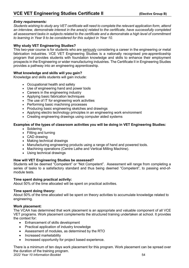#### *Entry requirements:*

*Students wishing to study any VET certificate will need to complete the relevant application form, attend an interview, demonstrate interest in the area(s) related to the certificate, have successfully completed all assessment tasks in subjects related to the certificate and a demonstrate a high level of commitment to learning in Year 9 to be considered for this subject in Year 10.*

#### **Why study VET Engineering Studies?**

This two-year course is for students who are seriously considering a career in the engineering or metal fabrication industries. VCE VET Engineering Studies is a nationally recognised pre-apprenticeship program that provides students with foundation knowledge and skills to enhance their employment prospects in the Engineering or wider manufacturing industries. The Certificate II in Engineering Studies provides a pathway into an engineering apprenticeship.

#### **What knowledge and skills will you gain?**

Knowledge and skills students will gain include:

- Occupational health and safety
- Use of engineering hand and power tools
- Careers in the engineering industry
- Applying basic fabrication techniques
- The use of IT for engineering work activities
- Performing basic machining processes
- Producing basic engineering sketches and drawings
- Applying electro technology principles in an engineering work environment
- Creating engineering drawings using computer aided systems

#### . **Examples of the types of classroom activities you will be doing in VET Engineering Studies:**

- Soldering
- Fitting and turning
- CAD drawing
- Making technical drawings
- Manufacturing engineering products using a range of hand and powered tools.
- Machining operations (Centre Lathe and Vertical Milling Machine).
- Using technical drawings

#### **How will VET Engineering Studies be assessed?**

Students will be deemed "Competent" or "Not Competent". Assessment will range from completing a series of tasks to a satisfactory standard and thus being deemed "Competent", to passing end-ofmodule tests.

#### **Time spent doing practical activity:**

About 50% of the time allocated will be spent on practical activities.

#### **Time spent doing theory:**

About 50% of the time allocated will be spent on theory activities to accumulate knowledge related to engineering.

#### **Work placement:**

The VCAA has determined that work placement is an appropriate and valuable component of all VCE VET programs. Work placement complements the structured training undertaken at school. It provides the context for:

- Enhancement of skills development
- Practical application of industry knowledge
- Assessment of modules, as determined by the RTO
- Increased marketability
- Increased opportunity for project based experience.

*2022 Year 10 Information Booklet* 54 There is a minimum of ten days work placement for this program. Work placement can be spread over the duration of the training program.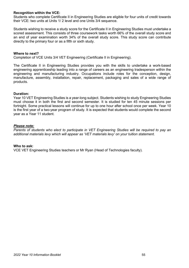#### **Recognition within the VCE:**

Students who complete Certificate II in Engineering Studies are eligible for four units of credit towards their VCE: two units at Units 1/ 2 level and one Units 3/4 sequence.

Students wishing to receive a study score for the Certificate II in Engineering Studies must undertake a scored assessment. This consists of three coursework tasks worth 66% of the overall study score and an end of year examination worth 34% of the overall study score. This study score can contribute directly to the primary four or as a fifth or sixth study.

#### **Where to next?**

Completion of VCE Units 3/4 VET Engineering (Certificate II in Engineering).

The Certificate II in Engineering Studies provides you with the skills to undertake a work-based engineering apprenticeship leading into a range of careers as an engineering tradesperson within the engineering and manufacturing industry. Occupations include roles for the conception, design, manufacture, assembly, installation, repair, replacement, packaging and sales of a wide range of products.

#### **Duration:**

Year 10 VET Engineering Studies is a year-long subject. Students wishing to study Engineering Studies must choose it in both the first and second semester. It is studied for ten 45 minute sessions per fortnight. Some practical lessons will continue for up to one hour after school once per week. Year 10 is the first year of a two-year program of study. It is expected that students would complete the second year as a Year 11 student.

#### *Please note:*

*Parents of students who elect to participate in VET Engineering Studies will be required to pay an additional materials levy which will appear as 'VET materials levy' on your tuition statement.*

#### **Who to ask:**

VCE VET Engineering Studies teachers or Mr Ryan (Head of Technologies faculty).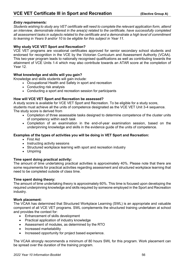#### *Entry requirements:*

*Students wishing to study any VET certificate will need to complete the relevant application form, attend an interview, demonstrate interest in the area(s) related to the certificate, have successfully completed all assessment tasks in subjects related to the certificate and a demonstrate a high level of commitment to learning in Years 9 and/or 10 to be eligible for this subject in Year 11.*

#### **Why study VCE VET Sport and Recreation?**

VCE VET programs are vocational certificates approved for senior secondary school students and endorsed for recognition in the VCE by the Victorian Curriculum and Assessment Authority (VCAA). This two-year program leads to nationally recognised qualifications as well as contributing towards the attainment of VCE Units 1-4 which may also contribute towards an ATAR score at the completion of Year 12.

#### **What knowledge and skills will you gain?**

Knowledge and skills students will gain include:

- Occupational Health and Safety in sport and recreation
- Conducting risk analysis
- Conducting a sport and recreation session for participants

#### **How will VCE VET Sport and Recreation be assessed?**

A study score is available for VCE VET Sport and Recreation. To be eligible for a study score, students must achieve all the units of competence designated as the VCE VET Unit 3-4 sequence. The study score is derived from

- Completion of three assessable tasks designed to determine competence of the cluster units of competency within each task
- Completion of an examination in the end-of-year examination session, based on the underpinning knowledge and skills in the evidence guide of the units of competence.

#### **Examples of the types of activities you will be doing in VET Sport and Recreation:**

- First Aid
- Instructing activity sessions
- Structured workplace learning with sport and recreation industry
- Umpiring

#### **Time spent doing practical activity:**

The amount of time undertaking practical activities is approximately 40%. Please note that there are some requirements for practical activities regarding assessment and structured workplace learning that need to be completed outside of class time.

#### **Time spent doing theory:**

The amount of time undertaking theory is approximately 60%. This time is focused upon developing the required underpinning knowledge and skills required by someone employed in the Sport and Recreation industry.

#### **Work placement:**

The VCAA has determined that Structured Workplace Learning (SWL) is an appropriate and valuable component of all VCE VET programs. SWL complements the structured training undertaken at school and provides the context for:

- Enhancement of skills development
- Practical application of industry knowledge
- Assessment of modules, as determined by the RTO
- Increased marketability
- Increased opportunity for project based experience.

The VCAA strongly recommends a minimum of 80 hours SWL for this program. Work placement can be spread over the duration of the training program.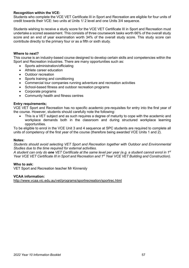#### **Recognition within the VCE:**

Students who complete the VCE VET Certificate III in Sport and Recreation are eligible for four units of credit towards their VCE: two units at Units 1/ 2 level and one Units 3/4 sequence.

Students wishing to receive a study score for the VCE VET Certificate III in Sport and Recreation must undertake a scored assessment. This consists of three coursework tasks worth 66% of the overall study score and an end of year examination worth 34% of the overall study score. This study score can contribute directly to the primary four or as a fifth or sixth study.

#### **Where to next?**

This course is an industry-based course designed to develop certain skills and competencies within the Sport and Recreation industries. There are many opportunities such as:

- Sports administration/officiating
- Athlete career education
- Outdoor recreation
- Sports training and conditioning
- Commercial tour companies running adventure and recreation activities
- School-based fitness and outdoor recreation programs
- Corporate programs
- Community health and fitness centres

#### **Entry requirements;**

VCE VET Sport and Recreation has no specific academic pre-requisites for entry into the first year of the course. However, students should carefully note the following:

• This is a VET subject and as such requires a degree of maturity to cope with the academic and workplace demands both in the classroom and during structured workplace learning opportunities.

To be eligible to enrol in the VCE Unit 3 and 4 sequence at SPC students are required to complete all units of competency of the first year of the course (therefore being awarded VCE Units 1 and 2).

#### **Notes:**

*Students should avoid selecting VET Sport and Recreation together with Outdoor and Environmental Studies due to the time required for external activities.*

*A student can only do one VET Certificate at the same level per year (e.g. a student cannot enrol in 1st Year VCE VET Certificate III in Sport and Recreation and 1st Year VCE VET Building and Construction).*

#### **Who to ask:**

VET Sport and Recreation teacher Mr Kinnersly

#### **VCAA information:**

<http://www.vcaa.vic.edu.au/vet/programs/sportrecreation/sportrec.html>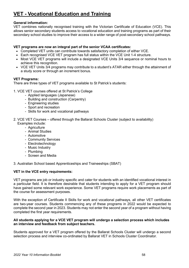# <span id="page-57-0"></span>**VET - Vocational Education and Training**

#### **General information:**

VET combines nationally recognised training with the Victorian Certificate of Education (VCE). This allows senior secondary students access to vocational education and training programs as part of their secondary school studies to improve their access to a wider range of post-secondary school pathways.

#### **VET programs are now an integral part of the senior VCAA certificates:**

- Completed VET units can contribute towards satisfactory completion of either VCE.
- Each recognised VCE VET program has full status within the VCE Unit 1-4 structure.
- Most VCE VET programs will include a designated VCE Units 3/4 sequence or nominal hours to achieve this recognition.
- VCE VET Units 3/4 programs may contribute to a student's ATAR either through the attainment of a study score or through an increment bonus.

#### **VET Programs:**

There are three types of VET programs available to St Patrick's students:

- 1. VCE VET courses offered at St Patrick's College
	- Applied languages (Japanese)
	- Building and construction (Carpentry)
	- Engineering studies
	- Sport and recreation
	- Skills for work and vocational pathways
- 2. VCE VET Courses offered through the Ballarat Schools Cluster (subject to availability) Examples include:
	- Agriculture
	- Animal Studies
	- Automotive
	- Community Services
	- Electrotechnology
	- Music Industry
	- Plumbing
	- Screen and Media

3. Australian School based Apprenticeships and Traineeships (SBAT)

#### **VET in the VCE entry requirements:**

VET programs are job or industry specific and cater for students with an identified vocational interest in a particular field. It is therefore desirable that students intending to apply for a VET program should have gained some relevant work experience. Some VET programs require work placements as part of the course for assessment purposes.

With the exception of Certificate II Skills for work and vocational pathways, all other VET certificates are two-year courses. Students commencing any of these programs in 2022 would be expected to complete the second year in 2023. Students may not enter the second year of a program without having completed the first year requirements.

#### **All students applying for a VCE VET program will undergo a selection process which includes an interview and feedback from subject teachers.**

Students approved for a VET program offered by the Ballarat Schools Cluster will undergo a second selection process and interview co-ordinated by Ballarat VET in Schools Cluster Coordinator.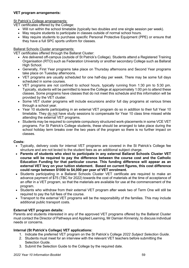#### **VET program arrangements:**

St Patrick's College arrangements:

VET certificates offered by the College:

- Will run within the school timetable (typically two doubles and one single session per week).
- May require students to participate in classes outside of normal school hours.
- May require students to purchase specific Personal Protective Equipment (PPE) or ensure that they have a full SPC sports uniform for classes.

#### Ballarat Schools Cluster arrangements:

VET certificates offered through the Ballarat Cluster:

- Are delivered off-campus (outside of St Patrick's College). Students attend a Registered Training Organisation (RTO) such as Federation University or another secondary College such as Ballarat High School.
- Generally, First Year programs take place on Thursday afternoons and Second Year programs take place on Tuesday afternoons.
- VET programs are usually scheduled for one half-day per week. There may be some full days scheduled in some courses.
- VET programs are not confined to school hours, typically running from 1:30 pm to 5:30 pm. Typically, students will be permitted to leave the College at approximately 1:00 pm to attend these classes. Some programs have classes that do not meet this schedule and this information will be provided by the VET cluster.
- Some VET cluster programs will include excursions and/or full day programs at various times through a school year.
- Year 10 students participating in an external VET program do so in addition to their full Year 10 timetable. They do not have study sessions to compensate for Year 10 class time missed while attending the external VET programs.
- Students may be required to complete compulsory structured work-placements in some VCE VET programs. For St Patrick's College students, these should be arranged to take place during the school holiday term breaks over the two years of the program so there is no further impact on classes.

#### **Costs:**

- Typically, delivery costs for internal VET programs are covered in the St Patrick's College fee structure and are not levied to the student fees as an additional subject charge.
- **Parents of students who elect to participate in any external Ballarat Schools Cluster VET course will be required to pay the difference between the course cost and the Catholic Education Funding for that particular course. This funding difference will appear as an external VET levy on your tuition statement. Based on current figures, this cost difference could range between \$1000 to \$4,000 per year of VET enrolment.**
- Students participating in a Ballarat Schools Cluster VET certificate are required to make an advance payment of \$75 (TBC for 2022) towards the cost of materials at the time of acceptance of an offer in a VET program, so that the materials are available for use at the commencement of the program.
- Students who withdraw from their external VET program after week two of Term One will still be required to pay the full fees of the course.
- Transport to the external VET programs will be the responsibility of the families. This may include additional public transport costs.

#### **External VET program details:**

Parents and students interested in any of the approved VET programs offered by the Ballarat Cluster must contact the Director of Pathways and Applied Learning, Mr Damian Kinnersly, to discuss individual needs or concerns.

#### **Internal (St Patrick's College) VET applications:**

- 1. Indicate the preferred VET program on the St Patrick's College *2022 Subject Selection Guide*.
- 2. Students must meet for an interview with the relevant VET teachers before submitting the Selection Guide.
- 3. Submit the Selection Guide to the College by the required date.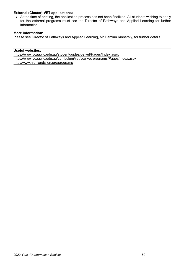#### **External (Cluster) VET applications:**

• At the time of printing, the application process has not been finalized. All students wishing to apply for the external programs must see the Director of Pathways and Applied Learning for further information.

#### **More information:**

Please see Director of Pathways and Applied Learning, Mr Damian Kinnersly, for further details.

**Useful websites:**  <https://www.vcaa.vic.edu.au/studentguides/getvet/Pages/Index.aspx> <https://www.vcaa.vic.edu.au/curriculum/vet/vce-vet-programs/Pages/Index.aspx> <http://www.highlandsllen.org/programs>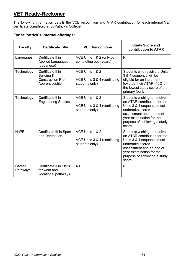# <span id="page-60-0"></span>**VET Ready-Reckoner**

The following information details the VCE recognition and ATAR contribution for each internal VET certificate completed at St Patrick's College.

### **For St Patrick's internal offerings:**

| <b>Faculty</b>     | <b>Certificate Title</b>                                                      | <b>VCE Recognition</b>                                           | <b>Study Score and</b><br>contribution to ATAR                                                                                                                                                                 |
|--------------------|-------------------------------------------------------------------------------|------------------------------------------------------------------|----------------------------------------------------------------------------------------------------------------------------------------------------------------------------------------------------------------|
| Languages          | Certificate II in<br><b>Applied Languages</b><br>(Japanese)                   | VCE Units 1 & 2 (only by<br>completing both years)               | Nil                                                                                                                                                                                                            |
| Technology         | Certificate II in<br>Building &<br><b>Construction Pre-</b><br>Apprenticeship | VCE Units 1 & 2<br>VCE Units 3 & 4 (continuing<br>students only) | Students who receive a Units<br>3 & 4 sequence will be<br>eligible for an increment<br>towards their ATAR (10% of<br>the lowest study score of the<br>primary four).                                           |
| Technology         | Certificate II in<br><b>Engineering Studies</b>                               | VCE Units 1 & 2<br>VCE Units 3 & 4 (continuing<br>students only) | Students wishing to receive<br>an ATAR contribution for the<br>Units 3 & 4 sequence must<br>undertake scored<br>assessment and an end of<br>year examination for the<br>purpose of achieving a study<br>score. |
| <b>HaPE</b>        | Certificate III in Sport<br>and Recreation                                    | VCE Units 1 & 2<br>VCE Units 3 & 4 (continuing<br>students only) | Students wishing to receive<br>an ATAR contribution for the<br>Units 3 & 4 sequence must<br>undertake scored<br>assessment and an end of<br>year examination for the<br>purpose of achieving a study<br>score. |
| Career<br>Pathways | <b>Certificate II in Skills</b><br>for work and<br>vocational pathways        | Nil                                                              | Nil                                                                                                                                                                                                            |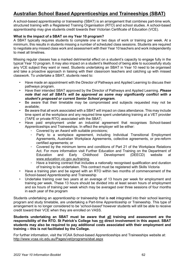## <span id="page-61-0"></span>**Australian School Based Apprenticeships and Traineeships (SBAT)**

A school-based apprenticeship or traineeship (SBAT) is an arrangement that combines part-time work, structured training with a Registered Training Organisation (RTO) and school studies. A school-based apprenticeship may give students credit towards their Victorian Certificate of Education (VCE).

#### **What is the impact of a SBAT on my Year 10 program?**

A SBAT typically requires students to complete one or two days of work or training per week. At a minimum, this results in students missing a number of scheduled class sessions. Students are required to negotiate any missed class work and assessment with their Year 10 teachers and work independently to meet all timelines.

Missing regular classes has a marked detrimental effect on a student's capacity to engage fully in the typical Year 10 program. It may also impact on a student's likelihood of being able to successfully study any VCE subject they want or need. Students undertaking an SBAT in Year 10 need to be organised and take a proactive approach in liaising with their classroom teachers and catching up with missed classwork. To undertake a SBAT, students need to:

- Have made an appointment with the Director of Pathways and Applied Learning to discuss their pathways program.
- Have their intended SBAT approved by the Director of Pathways and Applied Learning. *Please note that not all SBATs will be approved as some may significantly conflict with a student's proposed or current Senior School program.*
- Be aware that their timetable may be compromised and subjects requested may not be available;
- Be aware that all work associated with a SBAT will impact on class attendance. This may include time spent at the workplace and any required time spent undertaking training at a VET provider (TAFE or private RTO) associated with the SBAT;
- Have paid employment under an industrial agreement that recognises School-based Apprenticeships and Traineeships. In effect the employer will be either:
	- Covered by an Award with suitable provisions;
	- Party to a workplace agreement, including Individual Transitional Employment Agreements, Australian Workplace Agreements, collective agreements, or pre-reform certified agreements; or
	- Covered by the minimum terms and conditions of Part 21 of the Workplace Relations Act. For more information visit Further Education and Training on the Department of Education and Early Childhood Development (DEECD) website at [www.education.vic.gov.au/training.](http://www.education.vic.gov.au/training)
	- Have a training contract that includes a nationally recognised qualification and duration of training to be undertaken. This contract must be registered with Skills Victoria
- Have a training plan and be signed with an RTO within two months of commencement of the School-based Apprenticeship and Traineeship
- Undertake training over two years at an average of 13 hours per week for employment and training per week. These 13 hours should be divided into at least seven hours of employment and six hours of training per week which may be averaged over three sessions of four months in each year of the program

Students undertaking an apprenticeship or traineeship that is **not** integrated into their school learning program and study timetable, are undertaking a Part-time Apprenticeship or Traineeship. This type of arrangement is no longer considered to be '*school-based'* however students will still be able to receive credit toward their VCE when they are enrolled on VASS.

**Students undertaking an SBAT must be aware that all training and assessment are the responsibility of the RTO. St Patrick's College has no direct involvement in this aspect. SBAT students may also be required to pay additional costs associated with their employment and training – this is not facilitated by the College.**

For further information, visit the VCAA School-based Apprenticeships and Traineeships website at: <http://www.vcaa.vic.edu.au/Pages/vet/programs/sbat.aspx>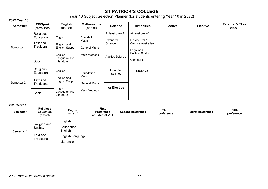## **ST PATRICK'S COLLEGE**

Year 10 Subject Selection Planner (for students entering Year 10 in 2022)

#### **2022 Year 10:**

| <b>Semester</b> | <b>RE/Sport</b><br>(compulsory                            | <b>English</b><br>(one of)                                                                | <b>Mathematics</b><br>(one of)                       | <b>Science</b>                                                    | <b>Humanities</b>                                                                                              | <b>Elective</b> | <b>Elective</b> | <b>External VET or</b><br><b>SBAT</b> |
|-----------------|-----------------------------------------------------------|-------------------------------------------------------------------------------------------|------------------------------------------------------|-------------------------------------------------------------------|----------------------------------------------------------------------------------------------------------------|-----------------|-----------------|---------------------------------------|
| Semester 1      | Religious<br>Education<br>Text and<br>Traditions<br>Sport | English<br>English and<br>English Support<br>English<br>Language and<br>Literature        | Foundation<br>Maths<br>General Maths<br>Math Methods | At least one of:<br>Extended<br>Science<br><b>Applied Science</b> | At least one of:<br>History $-20th$<br>Century Australian<br>Legal and<br><b>Political Studies</b><br>Commerce |                 |                 |                                       |
| Semester 2      | Religious<br>Education<br>Text and<br>Traditions<br>Sport | English<br>English and<br><b>English Support</b><br>English<br>Language and<br>Literature | Foundation<br>Maths<br>General Maths<br>Math Methods | Extended<br>Science<br>or Elective                                | <b>Elective</b>                                                                                                |                 |                 |                                       |

#### <span id="page-62-0"></span>**2023 Year 11:**

| <b>Semester</b> | <b>Religious</b><br><b>Education</b><br>(one of)  | English<br>(one of)                                                | <b>First</b><br><b>Preference</b><br>or External VET | <b>Second preference</b> | <b>Third</b><br>preference | <b>Fourth preference</b> | <b>Fifth</b><br>preference |
|-----------------|---------------------------------------------------|--------------------------------------------------------------------|------------------------------------------------------|--------------------------|----------------------------|--------------------------|----------------------------|
| Semester 1      | Religion and<br>Society<br>Text and<br>Traditions | English<br>Foundation<br>English<br>English Language<br>Literature |                                                      |                          |                            |                          |                            |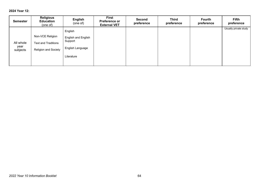#### **2024 Year 12:**

| <b>Semester</b>               | <b>Religious</b><br><b>Education</b><br>(one of)                | English<br>(one of)                                                                | <b>First</b><br><b>Preference or</b><br><b>External VET</b> | <b>Second</b><br>preference | <b>Third</b><br>preference | <b>Fourth</b><br>preference | <b>Fifth</b><br>preference |
|-------------------------------|-----------------------------------------------------------------|------------------------------------------------------------------------------------|-------------------------------------------------------------|-----------------------------|----------------------------|-----------------------------|----------------------------|
| All whole<br>year<br>subjects | Non-VCE Religion<br>Text and Traditions<br>Religion and Society | English<br><b>English and English</b><br>Support<br>English Language<br>Literature |                                                             |                             |                            |                             | Usually private study      |